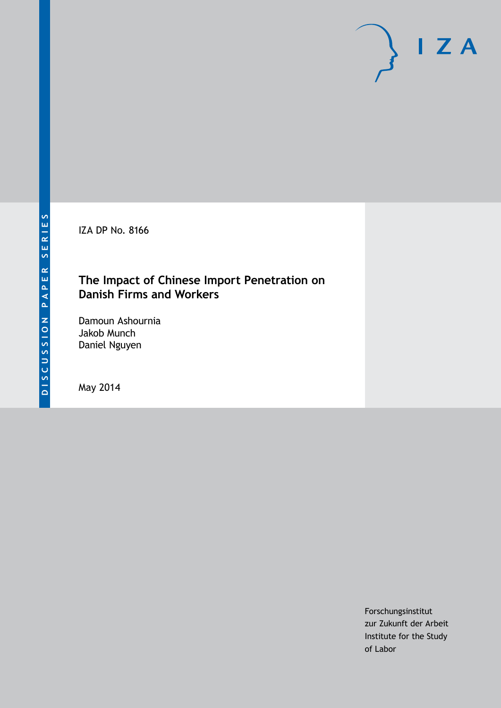IZA DP No. 8166

# **The Impact of Chinese Import Penetration on Danish Firms and Workers**

Damoun Ashournia Jakob Munch Daniel Nguyen

May 2014

Forschungsinstitut zur Zukunft der Arbeit Institute for the Study of Labor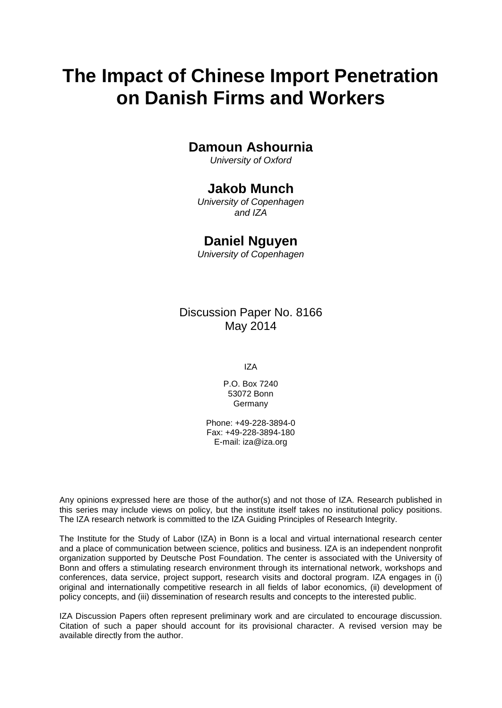# **The Impact of Chinese Import Penetration on Danish Firms and Workers**

# **Damoun Ashournia**

*University of Oxford*

# **Jakob Munch**

*University of Copenhagen and IZA*

## **Daniel Nguyen**

*University of Copenhagen*

Discussion Paper No. 8166 May 2014

IZA

P.O. Box 7240 53072 Bonn Germany

Phone: +49-228-3894-0 Fax: +49-228-3894-180 E-mail: [iza@iza.org](mailto:iza@iza.org)

Any opinions expressed here are those of the author(s) and not those of IZA. Research published in this series may include views on policy, but the institute itself takes no institutional policy positions. The IZA research network is committed to the IZA Guiding Principles of Research Integrity.

The Institute for the Study of Labor (IZA) in Bonn is a local and virtual international research center and a place of communication between science, politics and business. IZA is an independent nonprofit organization supported by Deutsche Post Foundation. The center is associated with the University of Bonn and offers a stimulating research environment through its international network, workshops and conferences, data service, project support, research visits and doctoral program. IZA engages in (i) original and internationally competitive research in all fields of labor economics, (ii) development of policy concepts, and (iii) dissemination of research results and concepts to the interested public.

<span id="page-1-0"></span>IZA Discussion Papers often represent preliminary work and are circulated to encourage discussion. Citation of such a paper should account for its provisional character. A revised version may be available directly from the author.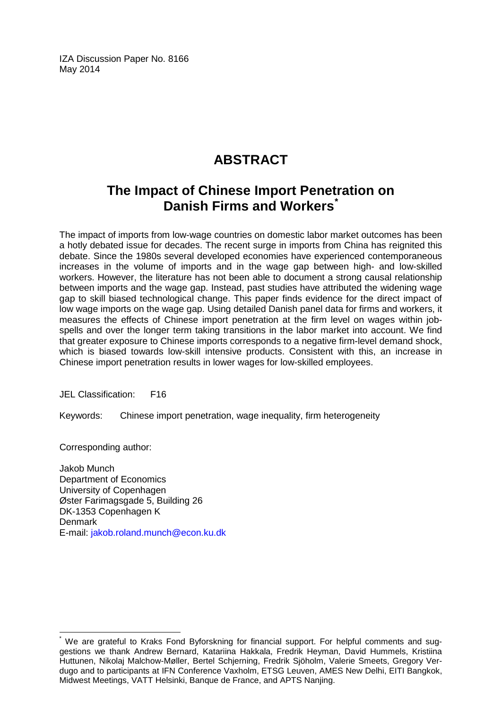IZA Discussion Paper No. 8166 May 2014

# **ABSTRACT**

# **The Impact of Chinese Import Penetration on Danish Firms and Workers[\\*](#page-1-0)**

The impact of imports from low-wage countries on domestic labor market outcomes has been a hotly debated issue for decades. The recent surge in imports from China has reignited this debate. Since the 1980s several developed economies have experienced contemporaneous increases in the volume of imports and in the wage gap between high- and low-skilled workers. However, the literature has not been able to document a strong causal relationship between imports and the wage gap. Instead, past studies have attributed the widening wage gap to skill biased technological change. This paper finds evidence for the direct impact of low wage imports on the wage gap. Using detailed Danish panel data for firms and workers, it measures the effects of Chinese import penetration at the firm level on wages within jobspells and over the longer term taking transitions in the labor market into account. We find that greater exposure to Chinese imports corresponds to a negative firm-level demand shock, which is biased towards low-skill intensive products. Consistent with this, an increase in Chinese import penetration results in lower wages for low-skilled employees.

JEL Classification: F16

Keywords: Chinese import penetration, wage inequality, firm heterogeneity

Corresponding author:

Jakob Munch Department of Economics University of Copenhagen Øster Farimagsgade 5, Building 26 DK-1353 Copenhagen K Denmark E-mail: [jakob.roland.munch@econ.ku.dk](mailto:jakob.roland.munch@econ.ku.dk)

We are grateful to Kraks Fond Byforskning for financial support. For helpful comments and suggestions we thank Andrew Bernard, Katariina Hakkala, Fredrik Heyman, David Hummels, Kristiina Huttunen, Nikolaj Malchow-Møller, Bertel Schjerning, Fredrik Sjöholm, Valerie Smeets, Gregory Verdugo and to participants at IFN Conference Vaxholm, ETSG Leuven, AMES New Delhi, EITI Bangkok, Midwest Meetings, VATT Helsinki, Banque de France, and APTS Nanjing.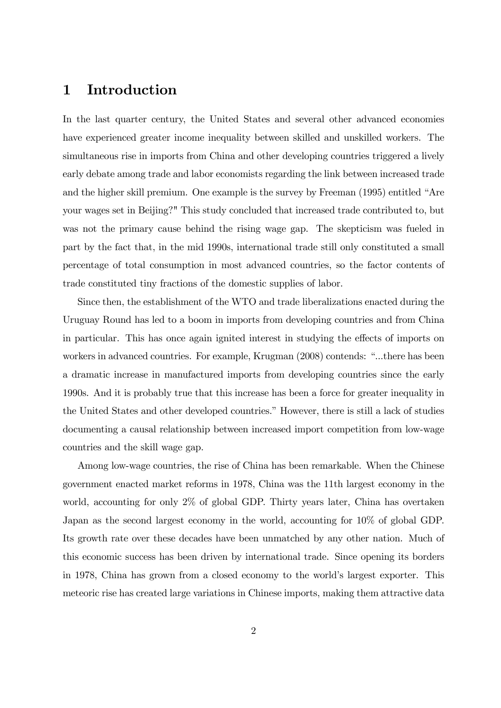# 1 Introduction

In the last quarter century, the United States and several other advanced economies have experienced greater income inequality between skilled and unskilled workers. The simultaneous rise in imports from China and other developing countries triggered a lively early debate among trade and labor economists regarding the link between increased trade and the higher skill premium. One example is the survey by Freeman (1995) entitled "Are your wages set in Beijing?" This study concluded that increased trade contributed to, but was not the primary cause behind the rising wage gap. The skepticism was fueled in part by the fact that, in the mid 1990s, international trade still only constituted a small percentage of total consumption in most advanced countries, so the factor contents of trade constituted tiny fractions of the domestic supplies of labor.

Since then, the establishment of the WTO and trade liberalizations enacted during the Uruguay Round has led to a boom in imports from developing countries and from China in particular. This has once again ignited interest in studying the effects of imports on workers in advanced countries. For example, Krugman (2008) contends: "...there has been a dramatic increase in manufactured imports from developing countries since the early 1990s. And it is probably true that this increase has been a force for greater inequality in the United States and other developed countries." However, there is still a lack of studies documenting a causal relationship between increased import competition from low-wage countries and the skill wage gap.

Among low-wage countries, the rise of China has been remarkable. When the Chinese government enacted market reforms in 1978, China was the 11th largest economy in the world, accounting for only 2% of global GDP. Thirty years later, China has overtaken Japan as the second largest economy in the world, accounting for 10% of global GDP. Its growth rate over these decades have been unmatched by any other nation. Much of this economic success has been driven by international trade. Since opening its borders in 1978, China has grown from a closed economy to the world's largest exporter. This meteoric rise has created large variations in Chinese imports, making them attractive data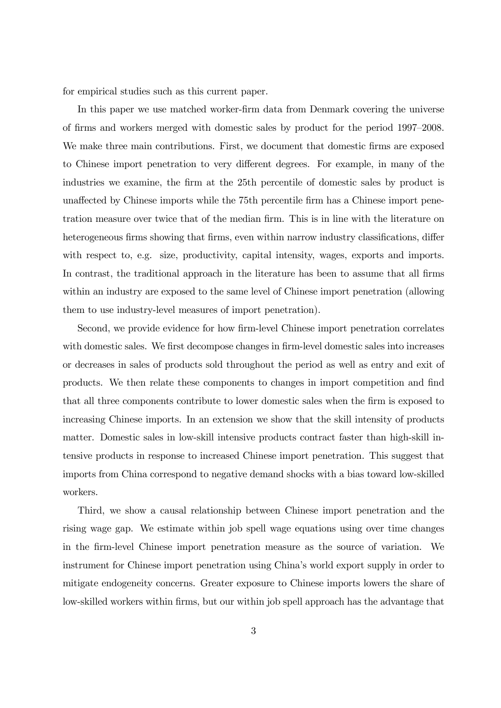for empirical studies such as this current paper.

In this paper we use matched worker-firm data from Denmark covering the universe of firms and workers merged with domestic sales by product for the period 1997–2008. We make three main contributions. First, we document that domestic firms are exposed to Chinese import penetration to very different degrees. For example, in many of the industries we examine, the Örm at the 25th percentile of domestic sales by product is unaffected by Chinese imports while the 75th percentile firm has a Chinese import penetration measure over twice that of the median firm. This is in line with the literature on heterogeneous firms showing that firms, even within narrow industry classifications, differ with respect to, e.g. size, productivity, capital intensity, wages, exports and imports. In contrast, the traditional approach in the literature has been to assume that all firms within an industry are exposed to the same level of Chinese import penetration (allowing them to use industry-level measures of import penetration).

Second, we provide evidence for how firm-level Chinese import penetration correlates with domestic sales. We first decompose changes in firm-level domestic sales into increases or decreases in sales of products sold throughout the period as well as entry and exit of products. We then relate these components to changes in import competition and Önd that all three components contribute to lower domestic sales when the firm is exposed to increasing Chinese imports. In an extension we show that the skill intensity of products matter. Domestic sales in low-skill intensive products contract faster than high-skill intensive products in response to increased Chinese import penetration. This suggest that imports from China correspond to negative demand shocks with a bias toward low-skilled workers.

Third, we show a causal relationship between Chinese import penetration and the rising wage gap. We estimate within job spell wage equations using over time changes in the Örm-level Chinese import penetration measure as the source of variation. We instrument for Chinese import penetration using China's world export supply in order to mitigate endogeneity concerns. Greater exposure to Chinese imports lowers the share of low-skilled workers within firms, but our within job spell approach has the advantage that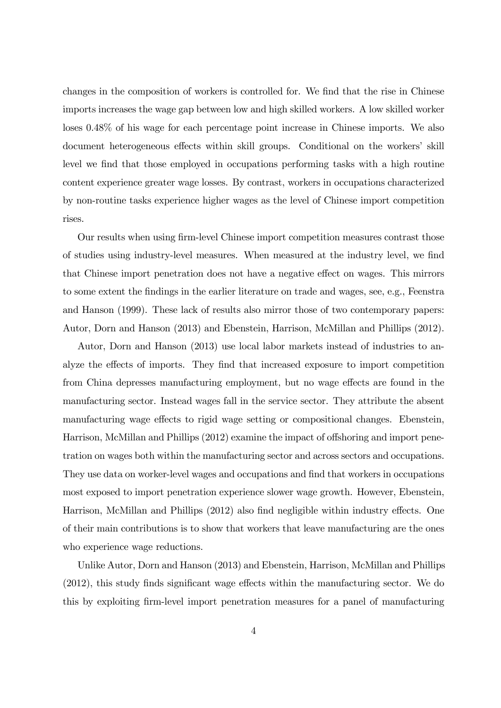changes in the composition of workers is controlled for. We find that the rise in Chinese imports increases the wage gap between low and high skilled workers. A low skilled worker loses 0.48% of his wage for each percentage point increase in Chinese imports. We also document heterogeneous effects within skill groups. Conditional on the workers' skill level we find that those employed in occupations performing tasks with a high routine content experience greater wage losses. By contrast, workers in occupations characterized by non-routine tasks experience higher wages as the level of Chinese import competition rises.

Our results when using Örm-level Chinese import competition measures contrast those of studies using industry-level measures. When measured at the industry level, we find that Chinese import penetration does not have a negative effect on wages. This mirrors to some extent the Öndings in the earlier literature on trade and wages, see, e.g., Feenstra and Hanson (1999). These lack of results also mirror those of two contemporary papers: Autor, Dorn and Hanson (2013) and Ebenstein, Harrison, McMillan and Phillips (2012).

Autor, Dorn and Hanson (2013) use local labor markets instead of industries to analyze the effects of imports. They find that increased exposure to import competition from China depresses manufacturing employment, but no wage effects are found in the manufacturing sector. Instead wages fall in the service sector. They attribute the absent manufacturing wage effects to rigid wage setting or compositional changes. Ebenstein, Harrison, McMillan and Phillips (2012) examine the impact of offshoring and import penetration on wages both within the manufacturing sector and across sectors and occupations. They use data on worker-level wages and occupations and find that workers in occupations most exposed to import penetration experience slower wage growth. However, Ebenstein, Harrison, McMillan and Phillips (2012) also find negligible within industry effects. One of their main contributions is to show that workers that leave manufacturing are the ones who experience wage reductions.

Unlike Autor, Dorn and Hanson (2013) and Ebenstein, Harrison, McMillan and Phillips  $(2012)$ , this study finds significant wage effects within the manufacturing sector. We do this by exploiting firm-level import penetration measures for a panel of manufacturing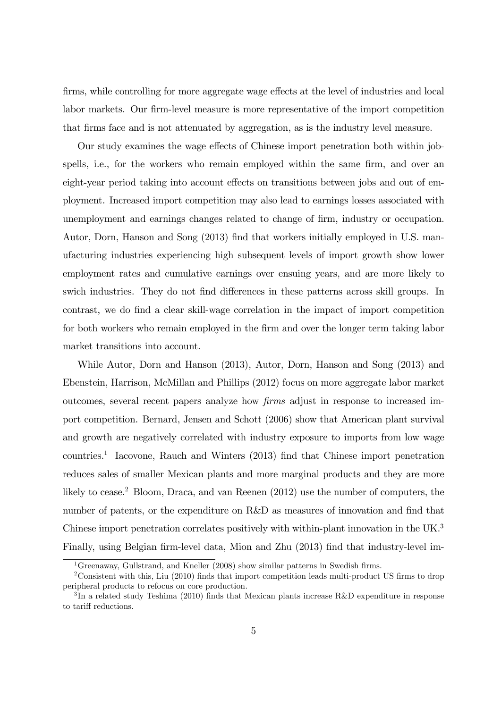firms, while controlling for more aggregate wage effects at the level of industries and local labor markets. Our firm-level measure is more representative of the import competition that Örms face and is not attenuated by aggregation, as is the industry level measure.

Our study examines the wage effects of Chinese import penetration both within jobspells, i.e., for the workers who remain employed within the same firm, and over an eight-year period taking into account effects on transitions between jobs and out of employment. Increased import competition may also lead to earnings losses associated with unemployment and earnings changes related to change of firm, industry or occupation. Autor, Dorn, Hanson and Song (2013) find that workers initially employed in U.S. manufacturing industries experiencing high subsequent levels of import growth show lower employment rates and cumulative earnings over ensuing years, and are more likely to swich industries. They do not find differences in these patterns across skill groups. In contrast, we do find a clear skill-wage correlation in the impact of import competition for both workers who remain employed in the firm and over the longer term taking labor market transitions into account.

While Autor, Dorn and Hanson (2013), Autor, Dorn, Hanson and Song (2013) and Ebenstein, Harrison, McMillan and Phillips (2012) focus on more aggregate labor market outcomes, several recent papers analyze how firms adjust in response to increased import competition. Bernard, Jensen and Schott (2006) show that American plant survival and growth are negatively correlated with industry exposure to imports from low wage countries.<sup>1</sup> Iacovone, Rauch and Winters (2013) find that Chinese import penetration reduces sales of smaller Mexican plants and more marginal products and they are more likely to cease.<sup>2</sup> Bloom, Draca, and van Reenen (2012) use the number of computers, the number of patents, or the expenditure on R&D as measures of innovation and find that Chinese import penetration correlates positively with within-plant innovation in the UK.<sup>3</sup> Finally, using Belgian firm-level data, Mion and Zhu (2013) find that industry-level im-

<sup>&</sup>lt;sup>1</sup>Greenaway, Gullstrand, and Kneller (2008) show similar patterns in Swedish firms.

<sup>&</sup>lt;sup>2</sup>Consistent with this, Liu (2010) finds that import competition leads multi-product US firms to drop peripheral products to refocus on core production.

 ${}^{3}$ In a related study Teshima (2010) finds that Mexican plants increase R&D expenditure in response to tariff reductions.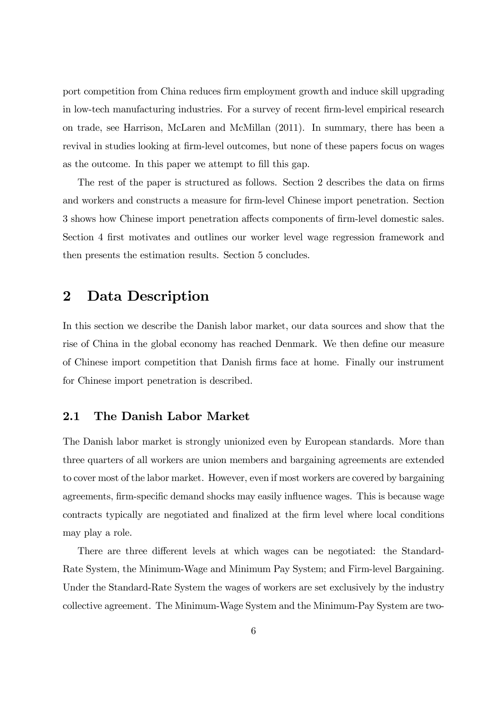port competition from China reduces firm employment growth and induce skill upgrading in low-tech manufacturing industries. For a survey of recent firm-level empirical research on trade, see Harrison, McLaren and McMillan (2011). In summary, there has been a revival in studies looking at firm-level outcomes, but none of these papers focus on wages as the outcome. In this paper we attempt to fill this gap.

The rest of the paper is structured as follows. Section 2 describes the data on firms and workers and constructs a measure for firm-level Chinese import penetration. Section 3 shows how Chinese import penetration affects components of firm-level domestic sales. Section 4 first motivates and outlines our worker level wage regression framework and then presents the estimation results. Section 5 concludes.

# 2 Data Description

In this section we describe the Danish labor market, our data sources and show that the rise of China in the global economy has reached Denmark. We then define our measure of Chinese import competition that Danish Örms face at home. Finally our instrument for Chinese import penetration is described.

### 2.1 The Danish Labor Market

The Danish labor market is strongly unionized even by European standards. More than three quarters of all workers are union members and bargaining agreements are extended to cover most of the labor market. However, even if most workers are covered by bargaining agreements, firm-specific demand shocks may easily influence wages. This is because wage contracts typically are negotiated and Önalized at the Örm level where local conditions may play a role.

There are three different levels at which wages can be negotiated: the Standard-Rate System, the Minimum-Wage and Minimum Pay System; and Firm-level Bargaining. Under the Standard-Rate System the wages of workers are set exclusively by the industry collective agreement. The Minimum-Wage System and the Minimum-Pay System are two-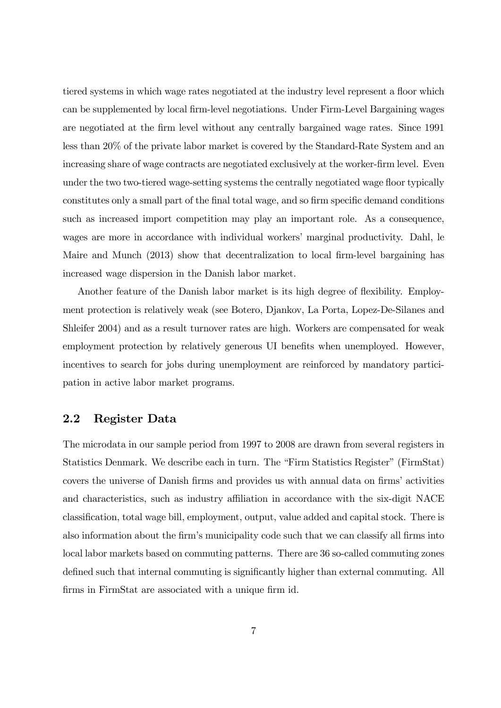tiered systems in which wage rates negotiated at the industry level represent a áoor which can be supplemented by local Örm-level negotiations. Under Firm-Level Bargaining wages are negotiated at the Örm level without any centrally bargained wage rates. Since 1991 less than 20% of the private labor market is covered by the Standard-Rate System and an increasing share of wage contracts are negotiated exclusively at the worker-firm level. Even under the two two-tiered wage-setting systems the centrally negotiated wage floor typically constitutes only a small part of the final total wage, and so firm specific demand conditions such as increased import competition may play an important role. As a consequence, wages are more in accordance with individual workers' marginal productivity. Dahl, le Maire and Munch (2013) show that decentralization to local firm-level bargaining has increased wage dispersion in the Danish labor market.

Another feature of the Danish labor market is its high degree of flexibility. Employment protection is relatively weak (see Botero, Djankov, La Porta, Lopez-De-Silanes and Shleifer 2004) and as a result turnover rates are high. Workers are compensated for weak employment protection by relatively generous UI benefits when unemployed. However, incentives to search for jobs during unemployment are reinforced by mandatory participation in active labor market programs.

### 2.2 Register Data

The microdata in our sample period from 1997 to 2008 are drawn from several registers in Statistics Denmark. We describe each in turn. The "Firm Statistics Register" (FirmStat) covers the universe of Danish firms and provides us with annual data on firms' activities and characteristics, such as industry affiliation in accordance with the six-digit NACE classification, total wage bill, employment, output, value added and capital stock. There is also information about the firm's municipality code such that we can classify all firms into local labor markets based on commuting patterns. There are 36 so-called commuting zones defined such that internal commuting is significantly higher than external commuting. All firms in FirmStat are associated with a unique firm id.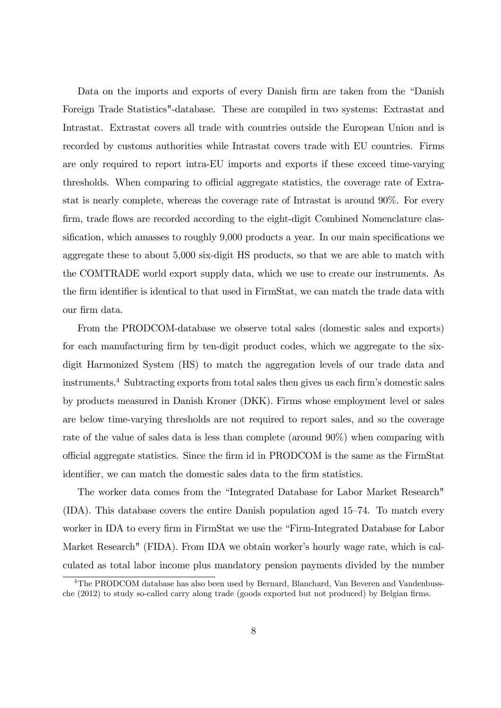Data on the imports and exports of every Danish firm are taken from the "Danish" Foreign Trade Statistics"-database. These are compiled in two systems: Extrastat and Intrastat. Extrastat covers all trade with countries outside the European Union and is recorded by customs authorities while Intrastat covers trade with EU countries. Firms are only required to report intra-EU imports and exports if these exceed time-varying thresholds. When comparing to official aggregate statistics, the coverage rate of Extrastat is nearly complete, whereas the coverage rate of Intrastat is around 90%. For every firm, trade flows are recorded according to the eight-digit Combined Nomenclature classification, which amasses to roughly  $9,000$  products a year. In our main specifications we aggregate these to about 5,000 six-digit HS products, so that we are able to match with the COMTRADE world export supply data, which we use to create our instruments. As the firm identifier is identical to that used in FirmStat, we can match the trade data with our Örm data.

From the PRODCOM-database we observe total sales (domestic sales and exports) for each manufacturing firm by ten-digit product codes, which we aggregate to the sixdigit Harmonized System (HS) to match the aggregation levels of our trade data and instruments.<sup>4</sup> Subtracting exports from total sales then gives us each firm's domestic sales by products measured in Danish Kroner (DKK). Firms whose employment level or sales are below time-varying thresholds are not required to report sales, and so the coverage rate of the value of sales data is less than complete (around 90%) when comparing with o¢ cial aggregate statistics. Since the Örm id in PRODCOM is the same as the FirmStat identifier, we can match the domestic sales data to the firm statistics.

The worker data comes from the "Integrated Database for Labor Market Research"  $(IDA)$ . This database covers the entire Danish population aged 15–74. To match every worker in IDA to every firm in FirmStat we use the "Firm-Integrated Database for Labor Market Research" (FIDA). From IDA we obtain worker's hourly wage rate, which is calculated as total labor income plus mandatory pension payments divided by the number

<sup>&</sup>lt;sup>4</sup>The PRODCOM database has also been used by Bernard, Blanchard, Van Beveren and Vandenbussche (2012) to study so-called carry along trade (goods exported but not produced) by Belgian firms.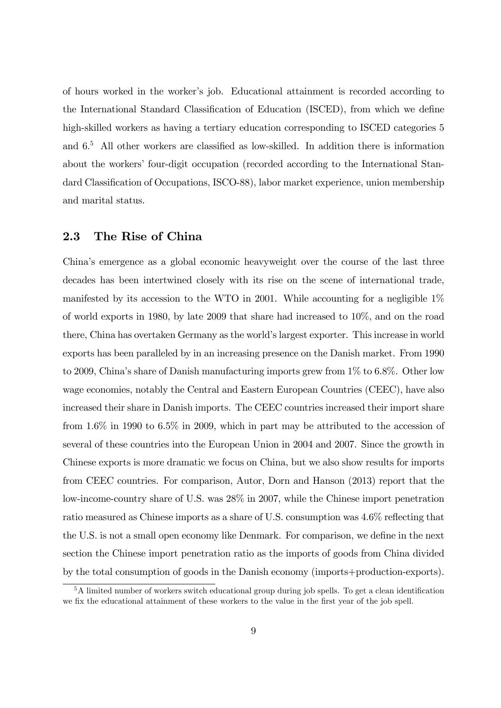of hours worked in the workerís job. Educational attainment is recorded according to the International Standard Classification of Education (ISCED), from which we define high-skilled workers as having a tertiary education corresponding to ISCED categories 5 and  $6<sup>5</sup>$  All other workers are classified as low-skilled. In addition there is information about the workers' four-digit occupation (recorded according to the International Standard Classification of Occupations, ISCO-88), labor market experience, union membership and marital status.

### 2.3 The Rise of China

Chinaís emergence as a global economic heavyweight over the course of the last three decades has been intertwined closely with its rise on the scene of international trade, manifested by its accession to the WTO in 2001. While accounting for a negligible  $1\%$ of world exports in 1980, by late 2009 that share had increased to 10%, and on the road there, China has overtaken Germany as the world's largest exporter. This increase in world exports has been paralleled by in an increasing presence on the Danish market. From 1990 to 2009, China's share of Danish manufacturing imports grew from 1% to 6.8%. Other low wage economies, notably the Central and Eastern European Countries (CEEC), have also increased their share in Danish imports. The CEEC countries increased their import share from 1.6% in 1990 to 6.5% in 2009, which in part may be attributed to the accession of several of these countries into the European Union in 2004 and 2007. Since the growth in Chinese exports is more dramatic we focus on China, but we also show results for imports from CEEC countries. For comparison, Autor, Dorn and Hanson (2013) report that the low-income-country share of U.S. was 28% in 2007, while the Chinese import penetration ratio measured as Chinese imports as a share of U.S. consumption was  $4.6\%$  reflecting that the U.S. is not a small open economy like Denmark. For comparison, we define in the next section the Chinese import penetration ratio as the imports of goods from China divided by the total consumption of goods in the Danish economy (imports+production-exports).

 $5A$  limited number of workers switch educational group during job spells. To get a clean identification we fix the educational attainment of these workers to the value in the first year of the job spell.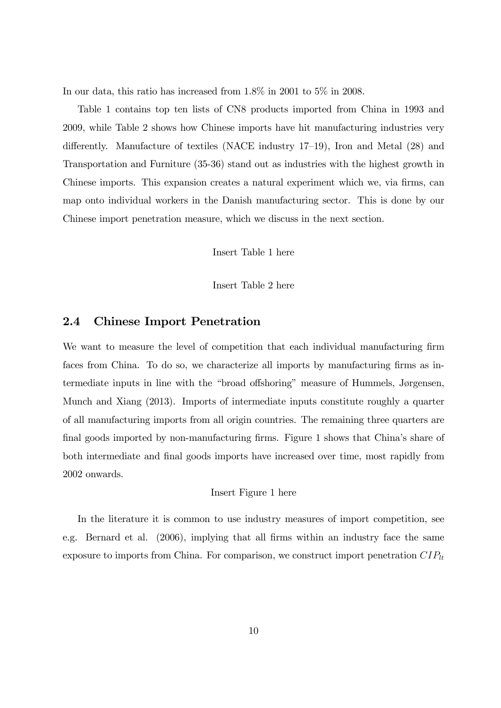In our data, this ratio has increased from 1.8% in 2001 to 5% in 2008.

Table 1 contains top ten lists of CN8 products imported from China in 1993 and 2009, while Table 2 shows how Chinese imports have hit manufacturing industries very differently. Manufacture of textiles (NACE industry  $17-19$ ), Iron and Metal (28) and Transportation and Furniture (35-36) stand out as industries with the highest growth in Chinese imports. This expansion creates a natural experiment which we, via firms, can map onto individual workers in the Danish manufacturing sector. This is done by our Chinese import penetration measure, which we discuss in the next section.

Insert Table 1 here

Insert Table 2 here

### 2.4 Chinese Import Penetration

We want to measure the level of competition that each individual manufacturing firm faces from China. To do so, we characterize all imports by manufacturing firms as intermediate inputs in line with the "broad offshoring" measure of Hummels, Jørgensen, Munch and Xiang (2013). Imports of intermediate inputs constitute roughly a quarter of all manufacturing imports from all origin countries. The remaining three quarters are final goods imported by non-manufacturing firms. Figure 1 shows that China's share of both intermediate and final goods imports have increased over time, most rapidly from 2002 onwards.

#### Insert Figure 1 here

In the literature it is common to use industry measures of import competition, see e.g. Bernard et al. (2006), implying that all firms within an industry face the same exposure to imports from China. For comparison, we construct import penetration  $CIP_{lt}$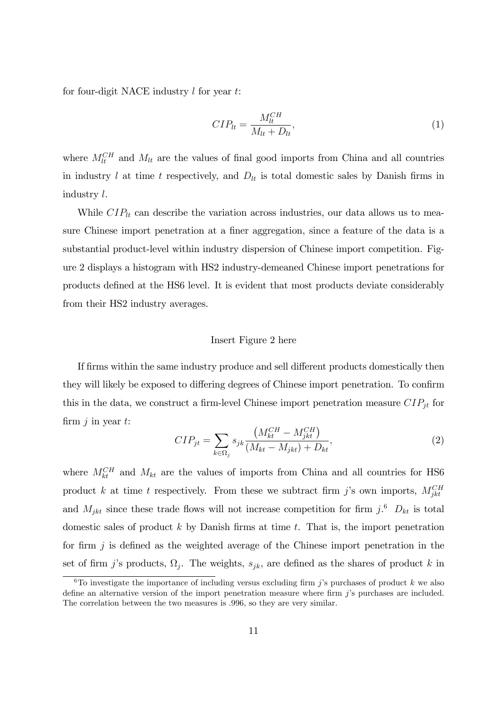for four-digit NACE industry  $l$  for year  $t$ :

$$
CIP_{lt} = \frac{M_{lt}^{CH}}{M_{lt} + D_{lt}},\tag{1}
$$

where  $M_{lt}^{CH}$  and  $M_{lt}$  are the values of final good imports from China and all countries in industry  $l$  at time  $t$  respectively, and  $D_{lt}$  is total domestic sales by Danish firms in industry l.

While  $CIP_{lt}$  can describe the variation across industries, our data allows us to measure Chinese import penetration at a finer aggregation, since a feature of the data is a substantial product-level within industry dispersion of Chinese import competition. Figure 2 displays a histogram with HS2 industry-demeaned Chinese import penetrations for products deÖned at the HS6 level. It is evident that most products deviate considerably from their HS2 industry averages.

#### Insert Figure 2 here

If firms within the same industry produce and sell different products domestically then they will likely be exposed to differing degrees of Chinese import penetration. To confirm this in the data, we construct a firm-level Chinese import penetration measure  $CIP_{jt}$  for firm  $j$  in year  $t$ :

$$
CIP_{jt} = \sum_{k \in \Omega_j} s_{jk} \frac{\left(M_{kt}^{CH} - M_{jkt}^{CH}\right)}{\left(M_{kt} - M_{jkt}\right) + D_{kt}},\tag{2}
$$

where  $M_{kt}^{CH}$  and  $M_{kt}$  are the values of imports from China and all countries for HS6 product k at time t respectively. From these we subtract firm j's own imports,  $M_{jkt}^{CH}$ and  $M_{jkt}$  since these trade flows will not increase competition for firm j.<sup>6</sup>  $D_{kt}$  is total domestic sales of product  $k$  by Danish firms at time  $t$ . That is, the import penetration for firm  $j$  is defined as the weighted average of the Chinese import penetration in the set of firm j's products,  $\Omega_j$ . The weights,  $s_{jk}$ , are defined as the shares of product k in

<sup>&</sup>lt;sup>6</sup>To investigate the importance of including versus excluding firm j's purchases of product k we also define an alternative version of the import penetration measure where firm  $j$ 's purchases are included. The correlation between the two measures is .996, so they are very similar.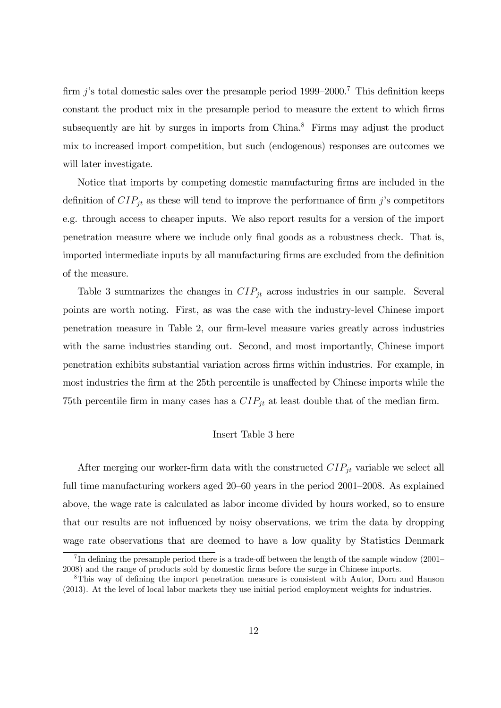firm j's total domestic sales over the presample period 1999–2000.<sup>7</sup> This definition keeps constant the product mix in the presample period to measure the extent to which firms subsequently are hit by surges in imports from China.<sup>8</sup> Firms may adjust the product mix to increased import competition, but such (endogenous) responses are outcomes we will later investigate.

Notice that imports by competing domestic manufacturing firms are included in the definition of  $CIP_{jt}$  as these will tend to improve the performance of firm j's competitors e.g. through access to cheaper inputs. We also report results for a version of the import penetration measure where we include only Önal goods as a robustness check. That is, imported intermediate inputs by all manufacturing firms are excluded from the definition of the measure.

Table 3 summarizes the changes in  $CIP_{it}$  across industries in our sample. Several points are worth noting. First, as was the case with the industry-level Chinese import penetration measure in Table 2, our firm-level measure varies greatly across industries with the same industries standing out. Second, and most importantly, Chinese import penetration exhibits substantial variation across Örms within industries. For example, in most industries the firm at the 25th percentile is unaffected by Chinese imports while the 75th percentile firm in many cases has a  $CIP_{jt}$  at least double that of the median firm.

#### Insert Table 3 here

After merging our worker-firm data with the constructed  $CIP_{jt}$  variable we select all full time manufacturing workers aged  $20-60$  years in the period  $2001-2008$ . As explained above, the wage rate is calculated as labor income divided by hours worked, so to ensure that our results are not ináuenced by noisy observations, we trim the data by dropping wage rate observations that are deemed to have a low quality by Statistics Denmark

<sup>&</sup>lt;sup>7</sup>In defining the presample period there is a trade-off between the length of the sample window  $(2001 -$ 2008) and the range of products sold by domestic Örms before the surge in Chinese imports.

<sup>&</sup>lt;sup>8</sup>This way of defining the import penetration measure is consistent with Autor, Dorn and Hanson (2013). At the level of local labor markets they use initial period employment weights for industries.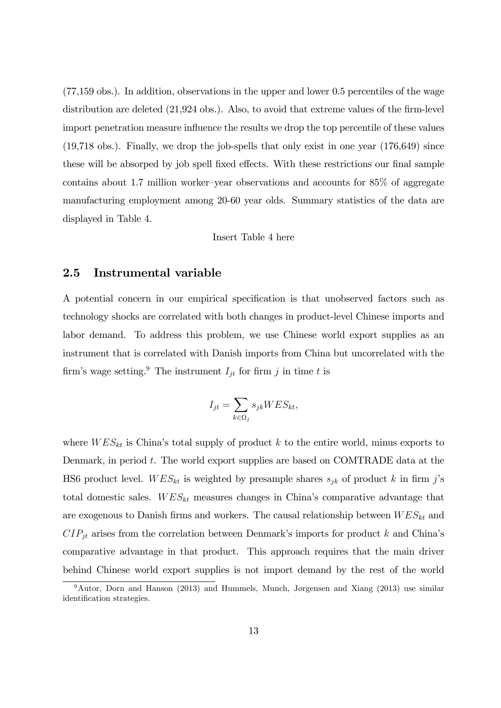(77,159 obs.). In addition, observations in the upper and lower 0.5 percentiles of the wage distribution are deleted  $(21,924 \text{ obs.})$ . Also, to avoid that extreme values of the firm-level import penetration measure influence the results we drop the top percentile of these values  $(19,718 \text{ obs.})$ . Finally, we drop the job-spells that only exist in one year  $(176,649)$  since these will be absorped by job spell fixed effects. With these restrictions our final sample contains about 1.7 million worker-year observations and accounts for  $85\%$  of aggregate manufacturing employment among 20-60 year olds. Summary statistics of the data are displayed in Table 4.

Insert Table 4 here

### 2.5 Instrumental variable

A potential concern in our empirical specification is that unobserved factors such as technology shocks are correlated with both changes in product-level Chinese imports and labor demand. To address this problem, we use Chinese world export supplies as an instrument that is correlated with Danish imports from China but uncorrelated with the firm's wage setting.<sup>9</sup> The instrument  $I_{it}$  for firm j in time t is

$$
I_{jt} = \sum_{k \in \Omega_j} s_{jk} WES_{kt},
$$

where  $WES_{kt}$  is China's total supply of product k to the entire world, minus exports to Denmark, in period t. The world export supplies are based on COMTRADE data at the HS6 product level.  $WES_{kt}$  is weighted by presample shares  $s_{jk}$  of product k in firm j's total domestic sales.  $WES_{kt}$  measures changes in China's comparative advantage that are exogenous to Danish firms and workers. The causal relationship between  $WES_{kt}$  and  $CIP_{jt}$  arises from the correlation between Denmark's imports for product k and China's comparative advantage in that product. This approach requires that the main driver behind Chinese world export supplies is not import demand by the rest of the world

 $9$ Autor, Dorn and Hanson (2013) and Hummels, Munch, Jørgensen and Xiang (2013) use similar identification strategies.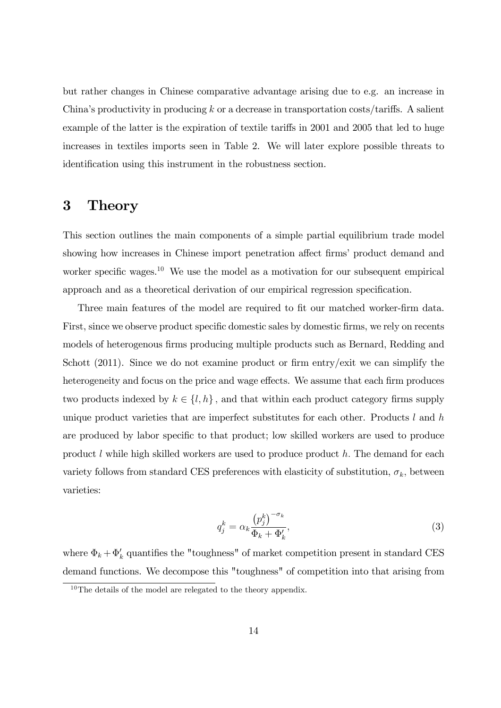but rather changes in Chinese comparative advantage arising due to e.g. an increase in China's productivity in producing k or a decrease in transportation costs/tariffs. A salient example of the latter is the expiration of textile tariffs in 2001 and 2005 that led to huge increases in textiles imports seen in Table 2. We will later explore possible threats to identification using this instrument in the robustness section.

# 3 Theory

This section outlines the main components of a simple partial equilibrium trade model showing how increases in Chinese import penetration affect firms' product demand and worker specific wages.<sup>10</sup> We use the model as a motivation for our subsequent empirical approach and as a theoretical derivation of our empirical regression specification.

Three main features of the model are required to fit our matched worker-firm data. First, since we observe product specific domestic sales by domestic firms, we rely on recents models of heterogenous firms producing multiple products such as Bernard, Redding and Schott  $(2011)$ . Since we do not examine product or firm entry/exit we can simplify the heterogeneity and focus on the price and wage effects. We assume that each firm produces two products indexed by  $k \in \{l, h\}$ , and that within each product category firms supply unique product varieties that are imperfect substitutes for each other. Products  $l$  and  $h$ are produced by labor specific to that product; low skilled workers are used to produce product  $l$  while high skilled workers are used to produce product  $h$ . The demand for each variety follows from standard CES preferences with elasticity of substitution,  $\sigma_k$ , between varieties:

$$
q_j^k = \alpha_k \frac{\left(p_j^k\right)^{-\sigma_k}}{\Phi_k + \Phi'_k},\tag{3}
$$

where  $\Phi_k + \Phi'_k$  quantifies the "toughness" of market competition present in standard CES demand functions. We decompose this "toughness" of competition into that arising from

 $10$ The details of the model are relegated to the theory appendix.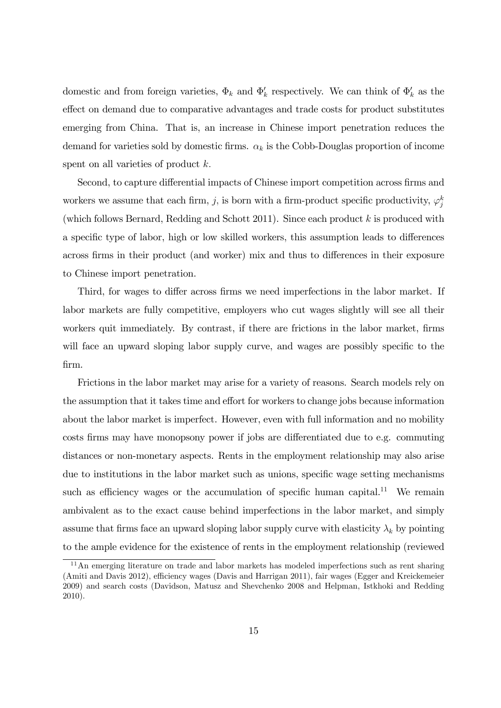domestic and from foreign varieties,  $\Phi_k$  and  $\Phi'_k$  respectively. We can think of  $\Phi'_k$  as the effect on demand due to comparative advantages and trade costs for product substitutes emerging from China. That is, an increase in Chinese import penetration reduces the demand for varieties sold by domestic firms.  $\alpha_k$  is the Cobb-Douglas proportion of income spent on all varieties of product  $k$ .

Second, to capture differential impacts of Chinese import competition across firms and workers we assume that each firm, j, is born with a firm-product specific productivity,  $\varphi_j^k$ (which follows Bernard, Redding and Schott 2011). Since each product  $k$  is produced with a specific type of labor, high or low skilled workers, this assumption leads to differences across firms in their product (and worker) mix and thus to differences in their exposure to Chinese import penetration.

Third, for wages to differ across firms we need imperfections in the labor market. If labor markets are fully competitive, employers who cut wages slightly will see all their workers quit immediately. By contrast, if there are frictions in the labor market, firms will face an upward sloping labor supply curve, and wages are possibly specific to the Örm.

Frictions in the labor market may arise for a variety of reasons. Search models rely on the assumption that it takes time and effort for workers to change jobs because information about the labor market is imperfect. However, even with full information and no mobility costs firms may have monopsony power if jobs are differentiated due to e.g. commuting distances or non-monetary aspects. Rents in the employment relationship may also arise due to institutions in the labor market such as unions, specific wage setting mechanisms such as efficiency wages or the accumulation of specific human capital.<sup>11</sup> We remain ambivalent as to the exact cause behind imperfections in the labor market, and simply assume that firms face an upward sloping labor supply curve with elasticity  $\lambda_k$  by pointing to the ample evidence for the existence of rents in the employment relationship (reviewed

 $11$ An emerging literature on trade and labor markets has modeled imperfections such as rent sharing (Amiti and Davis 2012), efficiency wages (Davis and Harrigan 2011), fair wages (Egger and Kreickemeier 2009) and search costs (Davidson, Matusz and Shevchenko 2008 and Helpman, Istkhoki and Redding 2010).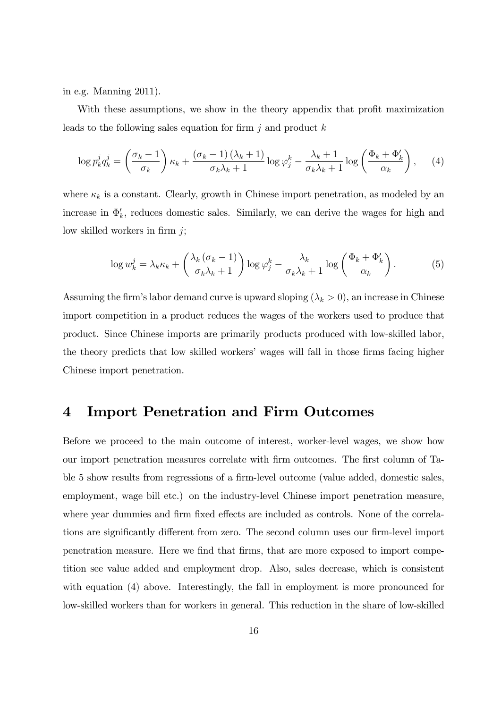in e.g. Manning 2011).

With these assumptions, we show in the theory appendix that profit maximization leads to the following sales equation for firm  $j$  and product  $k$ 

$$
\log p_k^j q_k^j = \left(\frac{\sigma_k - 1}{\sigma_k}\right) \kappa_k + \frac{(\sigma_k - 1)(\lambda_k + 1)}{\sigma_k \lambda_k + 1} \log \varphi_j^k - \frac{\lambda_k + 1}{\sigma_k \lambda_k + 1} \log \left(\frac{\Phi_k + \Phi_k'}{\alpha_k}\right), \quad (4)
$$

where  $\kappa_k$  is a constant. Clearly, growth in Chinese import penetration, as modeled by an increase in  $\Phi'_k$ , reduces domestic sales. Similarly, we can derive the wages for high and low skilled workers in firm  $j$ ;

$$
\log w_k^j = \lambda_k \kappa_k + \left(\frac{\lambda_k \left(\sigma_k - 1\right)}{\sigma_k \lambda_k + 1}\right) \log \varphi_j^k - \frac{\lambda_k}{\sigma_k \lambda_k + 1} \log \left(\frac{\Phi_k + \Phi_k'}{\alpha_k}\right). \tag{5}
$$

Assuming the firm's labor demand curve is upward sloping  $(\lambda_k > 0)$ , an increase in Chinese import competition in a product reduces the wages of the workers used to produce that product. Since Chinese imports are primarily products produced with low-skilled labor, the theory predicts that low skilled workers' wages will fall in those firms facing higher Chinese import penetration.

## 4 Import Penetration and Firm Outcomes

Before we proceed to the main outcome of interest, worker-level wages, we show how our import penetration measures correlate with Örm outcomes. The Örst column of Table 5 show results from regressions of a firm-level outcome (value added, domestic sales, employment, wage bill etc.) on the industry-level Chinese import penetration measure, where year dummies and firm fixed effects are included as controls. None of the correlations are significantly different from zero. The second column uses our firm-level import penetration measure. Here we Önd that Örms, that are more exposed to import competition see value added and employment drop. Also, sales decrease, which is consistent with equation (4) above. Interestingly, the fall in employment is more pronounced for low-skilled workers than for workers in general. This reduction in the share of low-skilled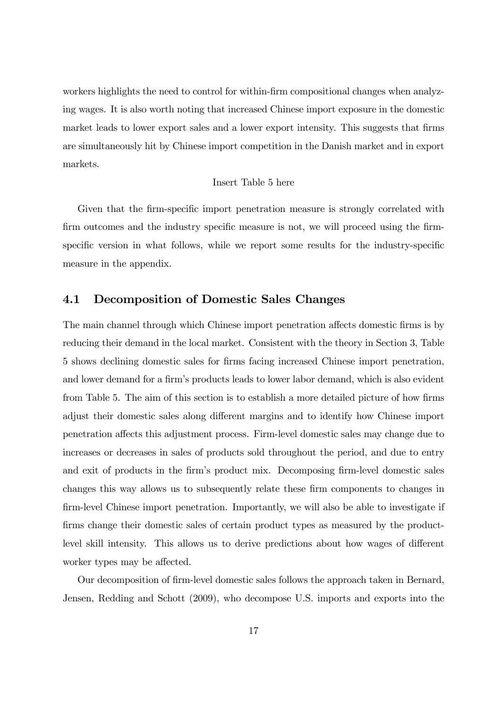workers highlights the need to control for within-firm compositional changes when analyzing wages. It is also worth noting that increased Chinese import exposure in the domestic market leads to lower export sales and a lower export intensity. This suggests that firms are simultaneously hit by Chinese import competition in the Danish market and in export markets.

#### Insert Table 5 here

Given that the firm-specific import penetration measure is strongly correlated with firm outcomes and the industry specific measure is not, we will proceed using the firmspecific version in what follows, while we report some results for the industry-specific measure in the appendix.

### 4.1 Decomposition of Domestic Sales Changes

The main channel through which Chinese import penetration affects domestic firms is by reducing their demand in the local market. Consistent with the theory in Section 3, Table 5 shows declining domestic sales for Örms facing increased Chinese import penetration, and lower demand for a firm's products leads to lower labor demand, which is also evident from Table 5. The aim of this section is to establish a more detailed picture of how firms adjust their domestic sales along different margins and to identify how Chinese import penetration affects this adjustment process. Firm-level domestic sales may change due to increases or decreases in sales of products sold throughout the period, and due to entry and exit of products in the firm's product mix. Decomposing firm-level domestic sales changes this way allows us to subsequently relate these Örm components to changes in firm-level Chinese import penetration. Importantly, we will also be able to investigate if firms change their domestic sales of certain product types as measured by the productlevel skill intensity. This allows us to derive predictions about how wages of different worker types may be affected.

Our decomposition of Örm-level domestic sales follows the approach taken in Bernard, Jensen, Redding and Schott (2009), who decompose U.S. imports and exports into the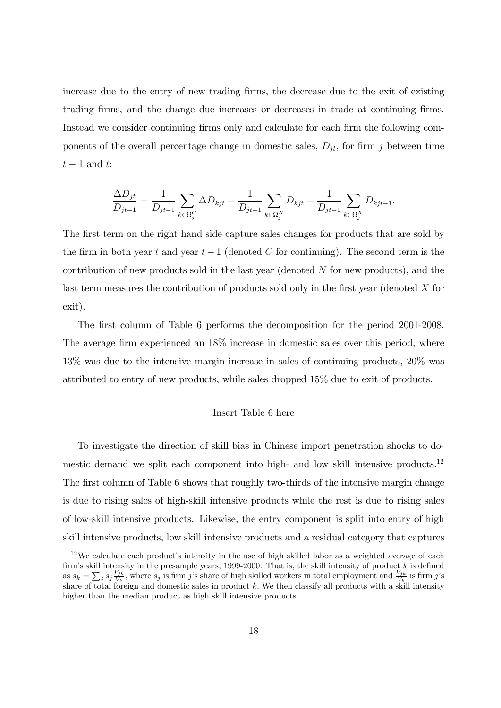increase due to the entry of new trading Örms, the decrease due to the exit of existing trading firms, and the change due increases or decreases in trade at continuing firms. Instead we consider continuing firms only and calculate for each firm the following components of the overall percentage change in domestic sales,  $D_{it}$ , for firm j between time  $t-1$  and  $t$ :

$$
\frac{\Delta D_{jt}}{D_{jt-1}} = \frac{1}{D_{jt-1}} \sum_{k \in \Omega_j^C} \Delta D_{kjt} + \frac{1}{D_{jt-1}} \sum_{k \in \Omega_j^N} D_{kjt} - \frac{1}{D_{jt-1}} \sum_{k \in \Omega_j^X} D_{kjt-1}.
$$

The first term on the right hand side capture sales changes for products that are sold by the firm in both year t and year  $t-1$  (denoted C for continuing). The second term is the contribution of new products sold in the last year (denoted N for new products), and the last term measures the contribution of products sold only in the first year (denoted  $X$  for exit).

The first column of Table 6 performs the decomposition for the period 2001-2008. The average firm experienced an 18% increase in domestic sales over this period, where 13% was due to the intensive margin increase in sales of continuing products, 20% was attributed to entry of new products, while sales dropped 15% due to exit of products.

#### Insert Table 6 here

To investigate the direction of skill bias in Chinese import penetration shocks to domestic demand we split each component into high- and low skill intensive products.<sup>12</sup> The first column of Table 6 shows that roughly two-thirds of the intensive margin change is due to rising sales of high-skill intensive products while the rest is due to rising sales of low-skill intensive products. Likewise, the entry component is split into entry of high skill intensive products, low skill intensive products and a residual category that captures

 $12$ We calculate each product's intensity in the use of high skilled labor as a weighted average of each firm's skill intensity in the presample years, 1999-2000. That is, the skill intensity of product  $k$  is defined as  $s_k = \sum_j s_j \frac{V_{jk}}{V_k}$  $\frac{V_{jk}}{V_k}$ , where  $s_j$  is firm j's share of high skilled workers in total employment and  $\frac{V_{jk}}{V_k}$  is firm j's share of total foreign and domestic sales in product k. We then classify all products with a skill intensity higher than the median product as high skill intensive products.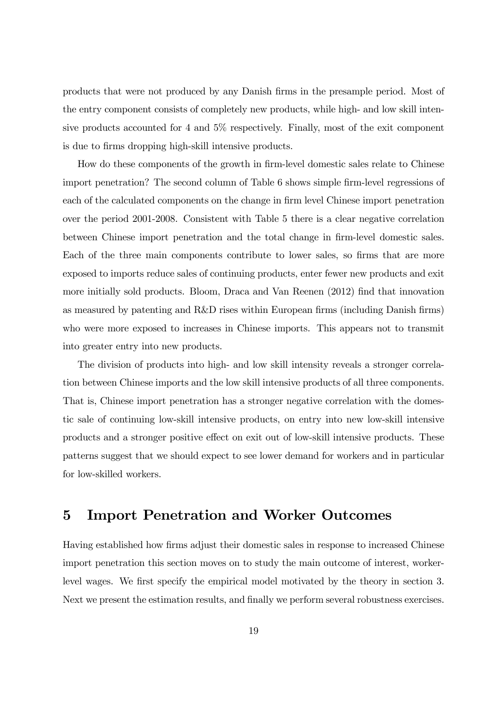products that were not produced by any Danish Örms in the presample period. Most of the entry component consists of completely new products, while high- and low skill intensive products accounted for 4 and 5% respectively. Finally, most of the exit component is due to firms dropping high-skill intensive products.

How do these components of the growth in Örm-level domestic sales relate to Chinese import penetration? The second column of Table 6 shows simple firm-level regressions of each of the calculated components on the change in firm level Chinese import penetration over the period 2001-2008. Consistent with Table 5 there is a clear negative correlation between Chinese import penetration and the total change in Örm-level domestic sales. Each of the three main components contribute to lower sales, so firms that are more exposed to imports reduce sales of continuing products, enter fewer new products and exit more initially sold products. Bloom, Draca and Van Reenen (2012) Önd that innovation as measured by patenting and R&D rises within European firms (including Danish firms) who were more exposed to increases in Chinese imports. This appears not to transmit into greater entry into new products.

The division of products into high- and low skill intensity reveals a stronger correlation between Chinese imports and the low skill intensive products of all three components. That is, Chinese import penetration has a stronger negative correlation with the domestic sale of continuing low-skill intensive products, on entry into new low-skill intensive products and a stronger positive effect on exit out of low-skill intensive products. These patterns suggest that we should expect to see lower demand for workers and in particular for low-skilled workers.

# 5 Import Penetration and Worker Outcomes

Having established how firms adjust their domestic sales in response to increased Chinese import penetration this section moves on to study the main outcome of interest, workerlevel wages. We first specify the empirical model motivated by the theory in section 3. Next we present the estimation results, and finally we perform several robustness exercises.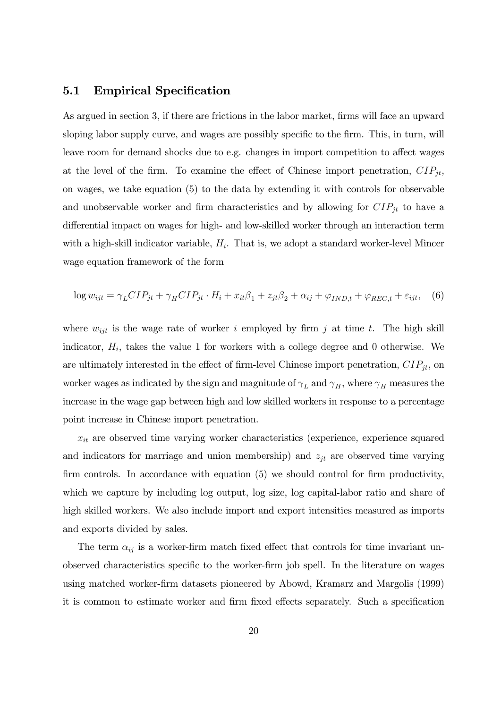### 5.1 Empirical Specification

As argued in section 3, if there are frictions in the labor market, firms will face an upward sloping labor supply curve, and wages are possibly specific to the firm. This, in turn, will leave room for demand shocks due to e.g. changes in import competition to affect wages at the level of the firm. To examine the effect of Chinese import penetration,  $CIP_{jt}$ , on wages, we take equation (5) to the data by extending it with controls for observable and unobservable worker and firm characteristics and by allowing for  $CIP_{jt}$  to have a differential impact on wages for high- and low-skilled worker through an interaction term with a high-skill indicator variable,  $H_i$ . That is, we adopt a standard worker-level Mincer wage equation framework of the form

$$
\log w_{ijt} = \gamma_L CIP_{jt} + \gamma_H CIP_{jt} \cdot H_i + x_{it}\beta_1 + z_{jt}\beta_2 + \alpha_{ij} + \varphi_{IND,t} + \varphi_{REG,t} + \varepsilon_{ijt}, \quad (6)
$$

where  $w_{ijt}$  is the wage rate of worker i employed by firm j at time t. The high skill indicator,  $H_i$ , takes the value 1 for workers with a college degree and 0 otherwise. We are ultimately interested in the effect of firm-level Chinese import penetration,  $CIP_{jt}$ , on worker wages as indicated by the sign and magnitude of  $\gamma_L$  and  $\gamma_H$ , where  $\gamma_H$  measures the increase in the wage gap between high and low skilled workers in response to a percentage point increase in Chinese import penetration.

 $x_{it}$  are observed time varying worker characteristics (experience, experience squared and indicators for marriage and union membership) and  $z_{jt}$  are observed time varying firm controls. In accordance with equation  $(5)$  we should control for firm productivity, which we capture by including log output, log size, log capital-labor ratio and share of high skilled workers. We also include import and export intensities measured as imports and exports divided by sales.

The term  $\alpha_{ij}$  is a worker-firm match fixed effect that controls for time invariant unobserved characteristics specific to the worker-firm job spell. In the literature on wages using matched worker-Örm datasets pioneered by Abowd, Kramarz and Margolis (1999) it is common to estimate worker and firm fixed effects separately. Such a specification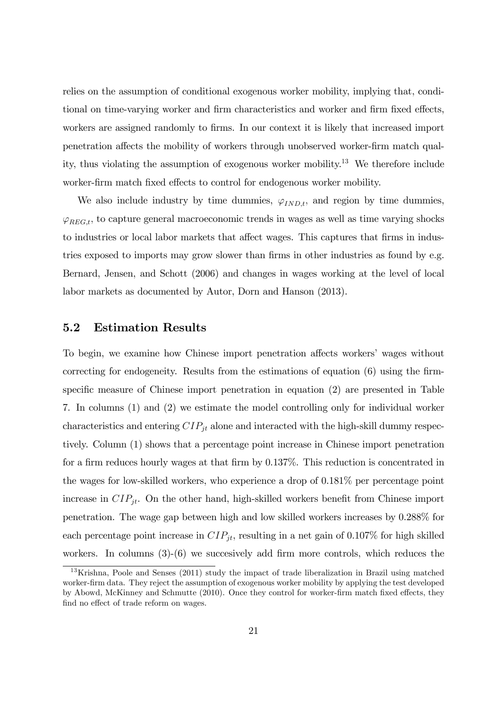relies on the assumption of conditional exogenous worker mobility, implying that, conditional on time-varying worker and firm characteristics and worker and firm fixed effects, workers are assigned randomly to firms. In our context it is likely that increased import penetration a§ects the mobility of workers through unobserved worker-Örm match quality, thus violating the assumption of exogenous worker mobility.<sup>13</sup> We therefore include worker-firm match fixed effects to control for endogenous worker mobility.

We also include industry by time dummies,  $\varphi_{IND,t}$ , and region by time dummies,  $\varphi_{REG,t}$ , to capture general macroeconomic trends in wages as well as time varying shocks to industries or local labor markets that affect wages. This captures that firms in industries exposed to imports may grow slower than firms in other industries as found by e.g. Bernard, Jensen, and Schott (2006) and changes in wages working at the level of local labor markets as documented by Autor, Dorn and Hanson (2013).

### 5.2 Estimation Results

To begin, we examine how Chinese import penetration affects workers' wages without correcting for endogeneity. Results from the estimations of equation  $(6)$  using the firmspecific measure of Chinese import penetration in equation  $(2)$  are presented in Table 7. In columns (1) and (2) we estimate the model controlling only for individual worker characteristics and entering  $CIP_{jt}$  alone and interacted with the high-skill dummy respectively. Column (1) shows that a percentage point increase in Chinese import penetration for a firm reduces hourly wages at that firm by  $0.137\%$ . This reduction is concentrated in the wages for low-skilled workers, who experience a drop of 0.181% per percentage point increase in  $CIP_{jt}$ . On the other hand, high-skilled workers benefit from Chinese import penetration. The wage gap between high and low skilled workers increases by 0.288% for each percentage point increase in  $CIP_{jt}$ , resulting in a net gain of 0.107% for high skilled workers. In columns  $(3)-(6)$  we succesively add firm more controls, which reduces the

<sup>&</sup>lt;sup>13</sup>Krishna, Poole and Senses (2011) study the impact of trade liberalization in Brazil using matched worker-Örm data. They reject the assumption of exogenous worker mobility by applying the test developed by Abowd, McKinney and Schmutte (2010). Once they control for worker-firm match fixed effects, they find no effect of trade reform on wages.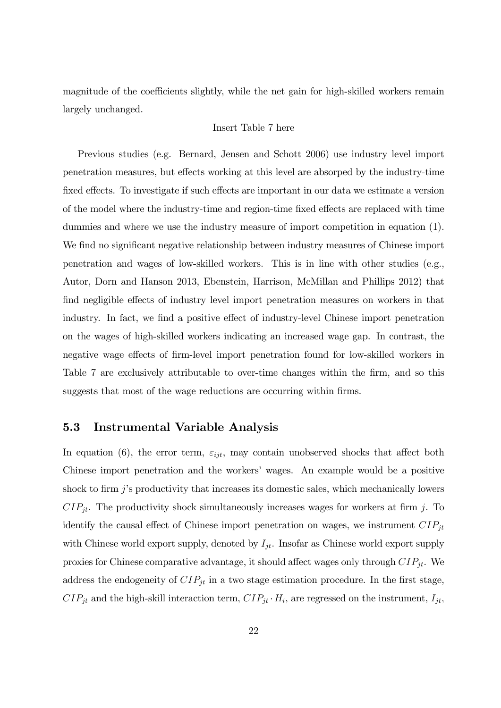magnitude of the coefficients slightly, while the net gain for high-skilled workers remain largely unchanged.

#### Insert Table 7 here

Previous studies (e.g. Bernard, Jensen and Schott 2006) use industry level import penetration measures, but effects working at this level are absorped by the industry-time fixed effects. To investigate if such effects are important in our data we estimate a version of the model where the industry-time and region-time fixed effects are replaced with time dummies and where we use the industry measure of import competition in equation (1). We find no significant negative relationship between industry measures of Chinese import penetration and wages of low-skilled workers. This is in line with other studies (e.g., Autor, Dorn and Hanson 2013, Ebenstein, Harrison, McMillan and Phillips 2012) that find negligible effects of industry level import penetration measures on workers in that industry. In fact, we find a positive effect of industry-level Chinese import penetration on the wages of high-skilled workers indicating an increased wage gap. In contrast, the negative wage effects of firm-level import penetration found for low-skilled workers in Table 7 are exclusively attributable to over-time changes within the firm, and so this suggests that most of the wage reductions are occurring within firms.

#### 5.3 Instrumental Variable Analysis

In equation (6), the error term,  $\varepsilon_{ijt}$ , may contain unobserved shocks that affect both Chinese import penetration and the workersí wages. An example would be a positive shock to firm  $j$ 's productivity that increases its domestic sales, which mechanically lowers  $CIP_{jt}$ . The productivity shock simultaneously increases wages for workers at firm j. To identify the causal effect of Chinese import penetration on wages, we instrument  $CIP_{jt}$ with Chinese world export supply, denoted by  $I_{jt}$ . Insofar as Chinese world export supply proxies for Chinese comparative advantage, it should affect wages only through  $CIP_{jt}$ . We address the endogeneity of  $CIP_{jt}$  in a two stage estimation procedure. In the first stage,  $CIP_{jt}$  and the high-skill interaction term,  $CIP_{jt} \cdot H_i$ , are regressed on the instrument,  $I_{jt}$ ,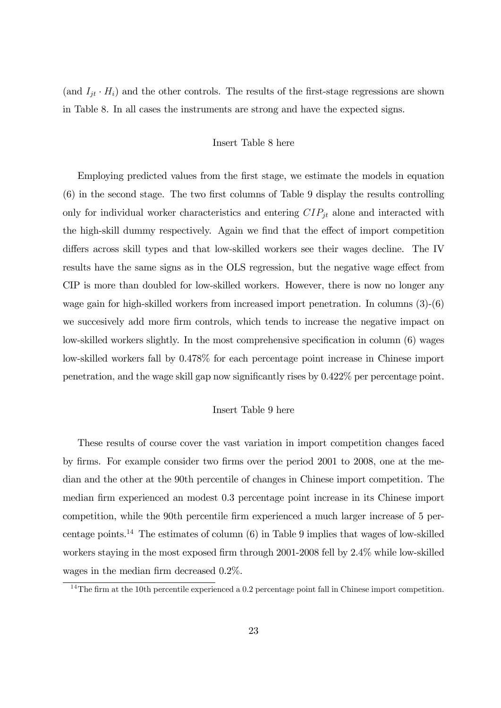(and  $I_{jt} \cdot H_i$ ) and the other controls. The results of the first-stage regressions are shown in Table 8. In all cases the instruments are strong and have the expected signs.

#### Insert Table 8 here

Employing predicted values from the first stage, we estimate the models in equation  $(6)$  in the second stage. The two first columns of Table 9 display the results controlling only for individual worker characteristics and entering  $CIP_{jt}$  alone and interacted with the high-skill dummy respectively. Again we find that the effect of import competition differs across skill types and that low-skilled workers see their wages decline. The IV results have the same signs as in the OLS regression, but the negative wage effect from CIP is more than doubled for low-skilled workers. However, there is now no longer any wage gain for high-skilled workers from increased import penetration. In columns (3)-(6) we succesively add more firm controls, which tends to increase the negative impact on low-skilled workers slightly. In the most comprehensive specification in column (6) wages low-skilled workers fall by 0.478% for each percentage point increase in Chinese import penetration, and the wage skill gap now significantly rises by 0.422% per percentage point.

#### Insert Table 9 here

These results of course cover the vast variation in import competition changes faced by Örms. For example consider two Örms over the period 2001 to 2008, one at the median and the other at the 90th percentile of changes in Chinese import competition. The median firm experienced an modest 0.3 percentage point increase in its Chinese import competition, while the 90th percentile firm experienced a much larger increase of 5 percentage points.<sup>14</sup> The estimates of column (6) in Table 9 implies that wages of low-skilled workers staying in the most exposed firm through 2001-2008 fell by  $2.4\%$  while low-skilled wages in the median firm decreased  $0.2\%$ .

 $14$ The firm at the 10th percentile experienced a 0.2 percentage point fall in Chinese import competition.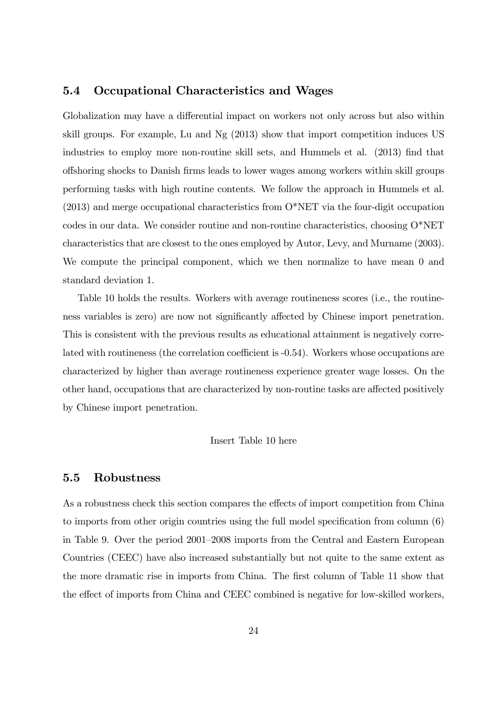### 5.4 Occupational Characteristics and Wages

Globalization may have a differential impact on workers not only across but also within skill groups. For example, Lu and Ng (2013) show that import competition induces US industries to employ more non-routine skill sets, and Hummels et al. (2013) find that o§shoring shocks to Danish Örms leads to lower wages among workers within skill groups performing tasks with high routine contents. We follow the approach in Hummels et al. (2013) and merge occupational characteristics from O\*NET via the four-digit occupation codes in our data. We consider routine and non-routine characteristics, choosing O\*NET characteristics that are closest to the ones employed by Autor, Levy, and Murname (2003). We compute the principal component, which we then normalize to have mean 0 and standard deviation 1.

Table 10 holds the results. Workers with average routineness scores (i.e., the routineness variables is zero) are now not significantly affected by Chinese import penetration. This is consistent with the previous results as educational attainment is negatively correlated with routineness (the correlation coefficient is -0.54). Workers whose occupations are characterized by higher than average routineness experience greater wage losses. On the other hand, occupations that are characterized by non-routine tasks are affected positively by Chinese import penetration.

#### Insert Table 10 here

#### 5.5 Robustness

As a robustness check this section compares the effects of import competition from China to imports from other origin countries using the full model specification from column  $(6)$ in Table 9. Over the period 2001–2008 imports from the Central and Eastern European Countries (CEEC) have also increased substantially but not quite to the same extent as the more dramatic rise in imports from China. The first column of Table 11 show that the effect of imports from China and CEEC combined is negative for low-skilled workers,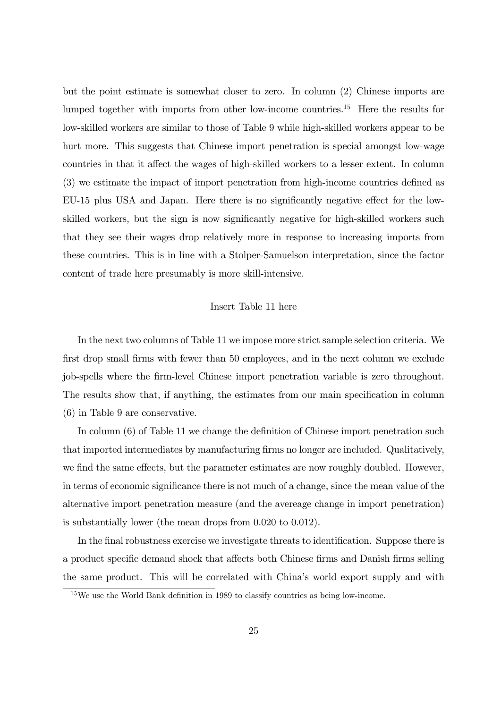but the point estimate is somewhat closer to zero. In column (2) Chinese imports are lumped together with imports from other low-income countries.<sup>15</sup> Here the results for low-skilled workers are similar to those of Table 9 while high-skilled workers appear to be hurt more. This suggests that Chinese import penetration is special amongst low-wage countries in that it affect the wages of high-skilled workers to a lesser extent. In column  $(3)$  we estimate the impact of import penetration from high-income countries defined as EU-15 plus USA and Japan. Here there is no significantly negative effect for the lowskilled workers, but the sign is now significantly negative for high-skilled workers such that they see their wages drop relatively more in response to increasing imports from these countries. This is in line with a Stolper-Samuelson interpretation, since the factor content of trade here presumably is more skill-intensive.

#### Insert Table 11 here

In the next two columns of Table 11 we impose more strict sample selection criteria. We first drop small firms with fewer than 50 employees, and in the next column we exclude job-spells where the Örm-level Chinese import penetration variable is zero throughout. The results show that, if anything, the estimates from our main specification in column (6) in Table 9 are conservative.

In column  $(6)$  of Table 11 we change the definition of Chinese import penetration such that imported intermediates by manufacturing Örms no longer are included. Qualitatively, we find the same effects, but the parameter estimates are now roughly doubled. However, in terms of economic significance there is not much of a change, since the mean value of the alternative import penetration measure (and the avereage change in import penetration) is substantially lower (the mean drops from 0.020 to 0.012).

In the final robustness exercise we investigate threats to identification. Suppose there is a product specific demand shock that affects both Chinese firms and Danish firms selling the same product. This will be correlated with Chinaís world export supply and with

 $15$ We use the World Bank definition in 1989 to classify countries as being low-income.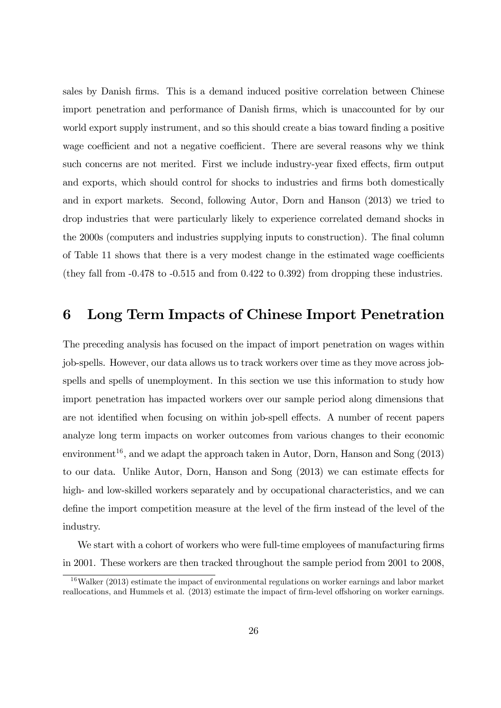sales by Danish Örms. This is a demand induced positive correlation between Chinese import penetration and performance of Danish firms, which is unaccounted for by our world export supply instrument, and so this should create a bias toward finding a positive wage coefficient and not a negative coefficient. There are several reasons why we think such concerns are not merited. First we include industry-year fixed effects, firm output and exports, which should control for shocks to industries and firms both domestically and in export markets. Second, following Autor, Dorn and Hanson (2013) we tried to drop industries that were particularly likely to experience correlated demand shocks in the 2000s (computers and industries supplying inputs to construction). The final column of Table 11 shows that there is a very modest change in the estimated wage coefficients (they fall from  $-0.478$  to  $-0.515$  and from  $0.422$  to  $0.392$ ) from dropping these industries.

# 6 Long Term Impacts of Chinese Import Penetration

The preceding analysis has focused on the impact of import penetration on wages within job-spells. However, our data allows us to track workers over time as they move across jobspells and spells of unemployment. In this section we use this information to study how import penetration has impacted workers over our sample period along dimensions that are not identified when focusing on within job-spell effects. A number of recent papers analyze long term impacts on worker outcomes from various changes to their economic environment<sup>16</sup>, and we adapt the approach taken in Autor, Dorn, Hanson and Song  $(2013)$ to our data. Unlike Autor, Dorn, Hanson and Song  $(2013)$  we can estimate effects for high- and low-skilled workers separately and by occupational characteristics, and we can define the import competition measure at the level of the firm instead of the level of the industry.

We start with a cohort of workers who were full-time employees of manufacturing firms in 2001. These workers are then tracked throughout the sample period from 2001 to 2008,

 $16$ Walker (2013) estimate the impact of environmental regulations on worker earnings and labor market reallocations, and Hummels et al. (2013) estimate the impact of firm-level offshoring on worker earnings.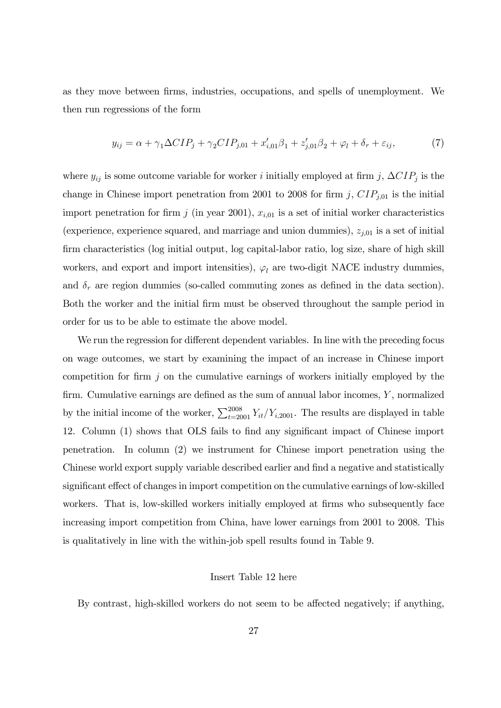as they move between Örms, industries, occupations, and spells of unemployment. We then run regressions of the form

$$
y_{ij} = \alpha + \gamma_1 \Delta CIP_j + \gamma_2 CIP_{j,01} + x'_{i,01}\beta_1 + z'_{j,01}\beta_2 + \varphi_l + \delta_r + \varepsilon_{ij},\tag{7}
$$

where  $y_{ij}$  is some outcome variable for worker *i* initially employed at firm j,  $\Delta CIP_j$  is the change in Chinese import penetration from 2001 to 2008 for firm j,  $CIP_{j,01}$  is the initial import penetration for firm j (in year 2001),  $x_{i,01}$  is a set of initial worker characteristics (experience, experience squared, and marriage and union dummies),  $z_{j,01}$  is a set of initial Örm characteristics (log initial output, log capital-labor ratio, log size, share of high skill workers, and export and import intensities),  $\varphi_l$  are two-digit NACE industry dummies, and  $\delta_r$  are region dummies (so-called commuting zones as defined in the data section). Both the worker and the initial Örm must be observed throughout the sample period in order for us to be able to estimate the above model.

We run the regression for different dependent variables. In line with the preceding focus on wage outcomes, we start by examining the impact of an increase in Chinese import competition for firm  $j$  on the cumulative earnings of workers initially employed by the firm. Cumulative earnings are defined as the sum of annual labor incomes,  $Y$ , normalized by the initial income of the worker,  $\sum_{t=2001}^{2008} Y_{it}/Y_{i,2001}$ . The results are displayed in table 12. Column (1) shows that OLS fails to find any significant impact of Chinese import penetration. In column (2) we instrument for Chinese import penetration using the Chinese world export supply variable described earlier and find a negative and statistically significant effect of changes in import competition on the cumulative earnings of low-skilled workers. That is, low-skilled workers initially employed at firms who subsequently face increasing import competition from China, have lower earnings from 2001 to 2008. This is qualitatively in line with the within-job spell results found in Table 9.

#### Insert Table 12 here

By contrast, high-skilled workers do not seem to be affected negatively; if anything,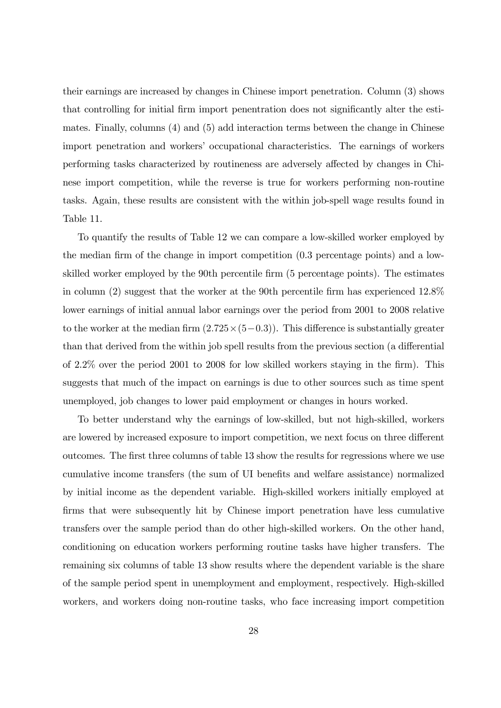their earnings are increased by changes in Chinese import penetration. Column (3) shows that controlling for initial firm import penentration does not significantly alter the estimates. Finally, columns (4) and (5) add interaction terms between the change in Chinese import penetration and workers' occupational characteristics. The earnings of workers performing tasks characterized by routineness are adversely affected by changes in Chinese import competition, while the reverse is true for workers performing non-routine tasks. Again, these results are consistent with the within job-spell wage results found in Table 11.

To quantify the results of Table 12 we can compare a low-skilled worker employed by the median firm of the change in import competition  $(0.3$  percentage points) and a lowskilled worker employed by the 90th percentile firm (5 percentage points). The estimates in column  $(2)$  suggest that the worker at the 90th percentile firm has experienced  $12.8\%$ lower earnings of initial annual labor earnings over the period from 2001 to 2008 relative to the worker at the median firm  $(2.725 \times (5-0.3))$ . This difference is substantially greater than that derived from the within job spell results from the previous section (a differential of  $2.2\%$  over the period 2001 to 2008 for low skilled workers staying in the firm). This suggests that much of the impact on earnings is due to other sources such as time spent unemployed, job changes to lower paid employment or changes in hours worked.

To better understand why the earnings of low-skilled, but not high-skilled, workers are lowered by increased exposure to import competition, we next focus on three different outcomes. The first three columns of table 13 show the results for regressions where we use cumulative income transfers (the sum of UI benefits and welfare assistance) normalized by initial income as the dependent variable. High-skilled workers initially employed at Örms that were subsequently hit by Chinese import penetration have less cumulative transfers over the sample period than do other high-skilled workers. On the other hand, conditioning on education workers performing routine tasks have higher transfers. The remaining six columns of table 13 show results where the dependent variable is the share of the sample period spent in unemployment and employment, respectively. High-skilled workers, and workers doing non-routine tasks, who face increasing import competition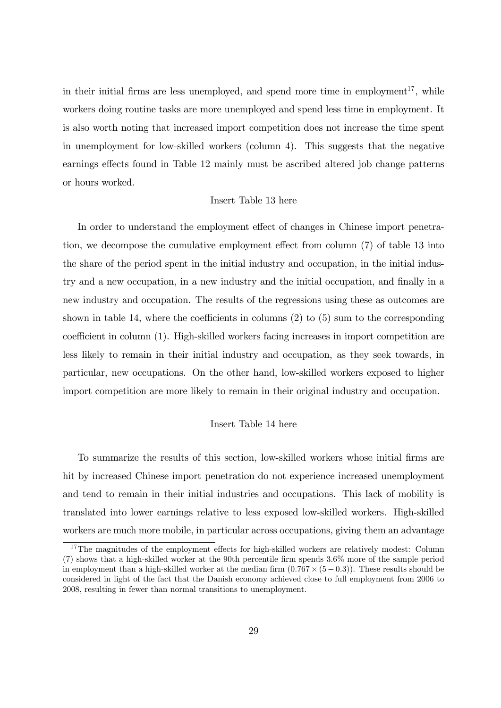in their initial firms are less unemployed, and spend more time in employment<sup>17</sup>, while workers doing routine tasks are more unemployed and spend less time in employment. It is also worth noting that increased import competition does not increase the time spent in unemployment for low-skilled workers (column 4). This suggests that the negative earnings effects found in Table 12 mainly must be ascribed altered job change patterns or hours worked.

#### Insert Table 13 here

In order to understand the employment effect of changes in Chinese import penetration, we decompose the cumulative employment effect from column  $(7)$  of table 13 into the share of the period spent in the initial industry and occupation, in the initial industry and a new occupation, in a new industry and the initial occupation, and finally in a new industry and occupation. The results of the regressions using these as outcomes are shown in table 14, where the coefficients in columns  $(2)$  to  $(5)$  sum to the corresponding coefficient in column (1). High-skilled workers facing increases in import competition are less likely to remain in their initial industry and occupation, as they seek towards, in particular, new occupations. On the other hand, low-skilled workers exposed to higher import competition are more likely to remain in their original industry and occupation.

#### Insert Table 14 here

To summarize the results of this section, low-skilled workers whose initial Örms are hit by increased Chinese import penetration do not experience increased unemployment and tend to remain in their initial industries and occupations. This lack of mobility is translated into lower earnings relative to less exposed low-skilled workers. High-skilled workers are much more mobile, in particular across occupations, giving them an advantage

 $17$ The magnitudes of the employment effects for high-skilled workers are relatively modest: Column  $(7)$  shows that a high-skilled worker at the 90th percentile firm spends  $3.6\%$  more of the sample period in employment than a high-skilled worker at the median firm  $(0.767 \times (5-0.3))$ . These results should be considered in light of the fact that the Danish economy achieved close to full employment from 2006 to 2008, resulting in fewer than normal transitions to unemployment.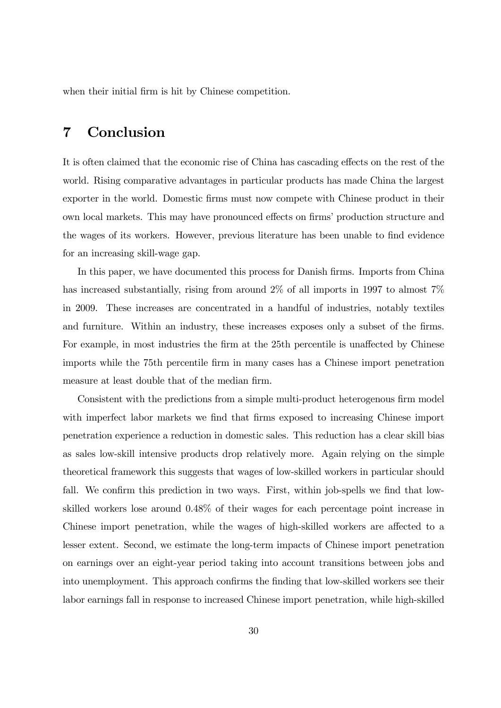when their initial firm is hit by Chinese competition.

# 7 Conclusion

It is often claimed that the economic rise of China has cascading effects on the rest of the world. Rising comparative advantages in particular products has made China the largest exporter in the world. Domestic Örms must now compete with Chinese product in their own local markets. This may have pronounced effects on firms' production structure and the wages of its workers. However, previous literature has been unable to find evidence for an increasing skill-wage gap.

In this paper, we have documented this process for Danish firms. Imports from China has increased substantially, rising from around 2\% of all imports in 1997 to almost 7\% in 2009. These increases are concentrated in a handful of industries, notably textiles and furniture. Within an industry, these increases exposes only a subset of the firms. For example, in most industries the firm at the 25th percentile is unaffected by Chinese imports while the 75th percentile firm in many cases has a Chinese import penetration measure at least double that of the median firm.

Consistent with the predictions from a simple multi-product heterogenous firm model with imperfect labor markets we find that firms exposed to increasing Chinese import penetration experience a reduction in domestic sales. This reduction has a clear skill bias as sales low-skill intensive products drop relatively more. Again relying on the simple theoretical framework this suggests that wages of low-skilled workers in particular should fall. We confirm this prediction in two ways. First, within job-spells we find that lowskilled workers lose around 0.48% of their wages for each percentage point increase in Chinese import penetration, while the wages of high-skilled workers are affected to a lesser extent. Second, we estimate the long-term impacts of Chinese import penetration on earnings over an eight-year period taking into account transitions between jobs and into unemployment. This approach confirms the finding that low-skilled workers see their labor earnings fall in response to increased Chinese import penetration, while high-skilled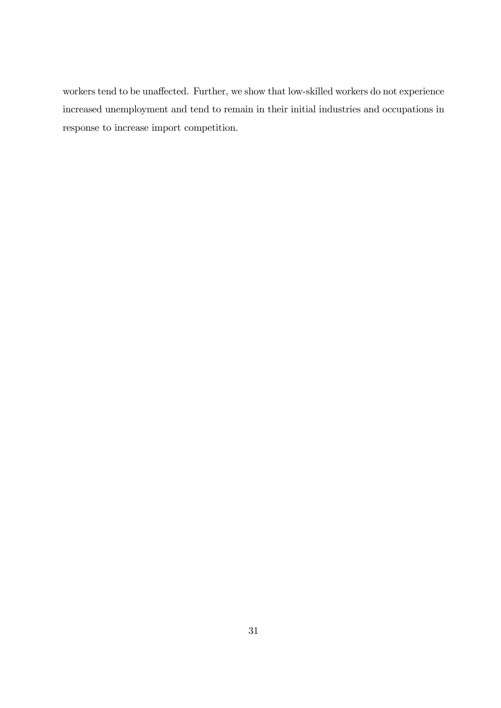workers tend to be unaffected. Further, we show that low-skilled workers do not experience increased unemployment and tend to remain in their initial industries and occupations in response to increase import competition.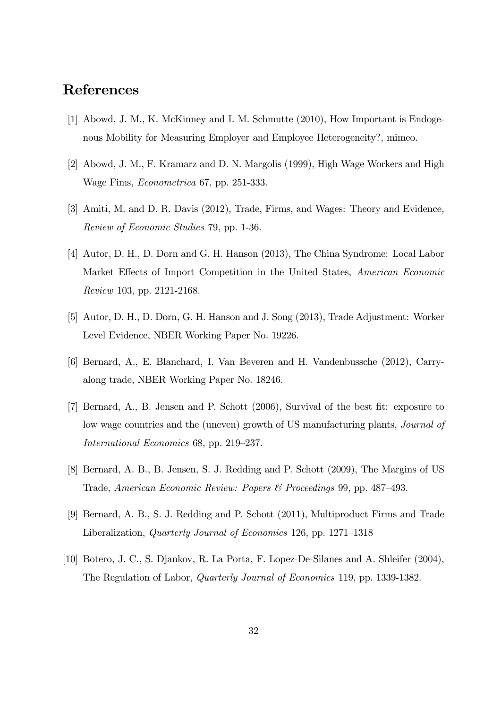# References

- [1] Abowd, J. M., K. McKinney and I. M. Schmutte (2010), How Important is Endogenous Mobility for Measuring Employer and Employee Heterogeneity?, mimeo.
- [2] Abowd, J. M., F. Kramarz and D. N. Margolis (1999), High Wage Workers and High Wage Fims, Econometrica 67, pp. 251-333.
- [3] Amiti, M. and D. R. Davis (2012), Trade, Firms, and Wages: Theory and Evidence, Review of Economic Studies 79, pp. 1-36.
- [4] Autor, D. H., D. Dorn and G. H. Hanson (2013), The China Syndrome: Local Labor Market Effects of Import Competition in the United States, American Economic Review 103, pp. 2121-2168.
- [5] Autor, D. H., D. Dorn, G. H. Hanson and J. Song (2013), Trade Adjustment: Worker Level Evidence, NBER Working Paper No. 19226.
- [6] Bernard, A., E. Blanchard, I. Van Beveren and H. Vandenbussche (2012), Carryalong trade, NBER Working Paper No. 18246.
- [7] Bernard, A., B. Jensen and P. Schott (2006), Survival of the best Öt: exposure to low wage countries and the (uneven) growth of US manufacturing plants, Journal of International Economics 68, pp. 219–237.
- [8] Bernard, A. B., B. Jensen, S. J. Redding and P. Schott (2009), The Margins of US Trade, American Economic Review: Papers & Proceedings 99, pp. 487–493.
- [9] Bernard, A. B., S. J. Redding and P. Schott (2011), Multiproduct Firms and Trade Liberalization, *Quarterly Journal of Economics* 126, pp. 1271–1318
- [10] Botero, J. C., S. Djankov, R. La Porta, F. Lopez-De-Silanes and A. Shleifer (2004), The Regulation of Labor, Quarterly Journal of Economics 119, pp. 1339-1382.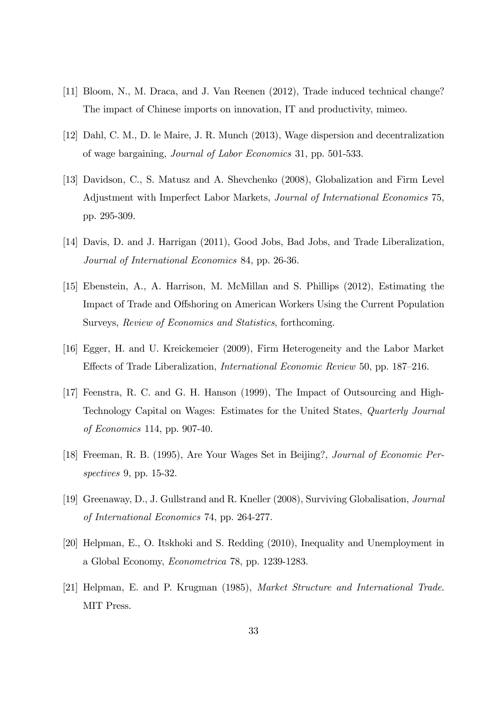- [11] Bloom, N., M. Draca, and J. Van Reenen (2012), Trade induced technical change? The impact of Chinese imports on innovation, IT and productivity, mimeo.
- [12] Dahl, C. M., D. le Maire, J. R. Munch (2013), Wage dispersion and decentralization of wage bargaining, Journal of Labor Economics 31, pp. 501-533.
- [13] Davidson, C., S. Matusz and A. Shevchenko (2008), Globalization and Firm Level Adjustment with Imperfect Labor Markets, Journal of International Economics 75, pp. 295-309.
- [14] Davis, D. and J. Harrigan (2011), Good Jobs, Bad Jobs, and Trade Liberalization, Journal of International Economics 84, pp. 26-36.
- [15] Ebenstein, A., A. Harrison, M. McMillan and S. Phillips (2012), Estimating the Impact of Trade and Offshoring on American Workers Using the Current Population Surveys, Review of Economics and Statistics, forthcoming.
- [16] Egger, H. and U. Kreickemeier (2009), Firm Heterogeneity and the Labor Market Effects of Trade Liberalization, *International Economic Review* 50, pp. 187–216.
- [17] Feenstra, R. C. and G. H. Hanson (1999), The Impact of Outsourcing and High-Technology Capital on Wages: Estimates for the United States, Quarterly Journal of Economics 114, pp. 907-40.
- [18] Freeman, R. B. (1995), Are Your Wages Set in Beijing?, Journal of Economic Perspectives 9, pp. 15-32.
- [19] Greenaway, D., J. Gullstrand and R. Kneller (2008), Surviving Globalisation, Journal of International Economics 74, pp. 264-277.
- [20] Helpman, E., O. Itskhoki and S. Redding (2010), Inequality and Unemployment in a Global Economy, Econometrica 78, pp. 1239-1283.
- [21] Helpman, E. and P. Krugman (1985), Market Structure and International Trade. MIT Press.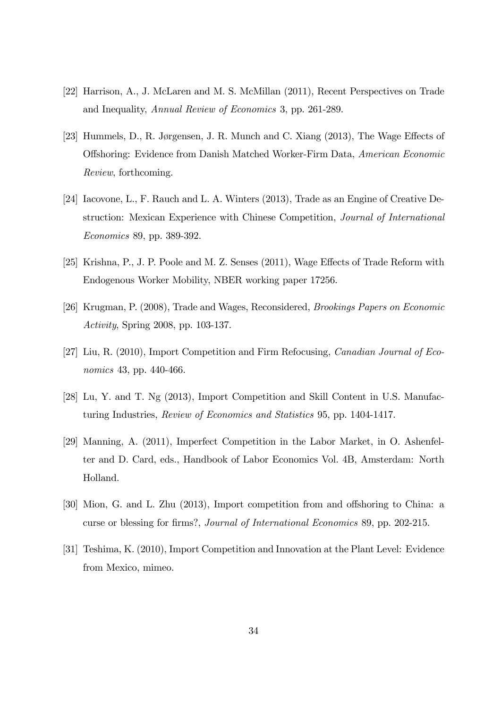- [22] Harrison, A., J. McLaren and M. S. McMillan (2011), Recent Perspectives on Trade and Inequality, Annual Review of Economics 3, pp. 261-289.
- [23] Hummels, D., R. Jørgensen, J. R. Munch and C. Xiang  $(2013)$ , The Wage Effects of Offshoring: Evidence from Danish Matched Worker-Firm Data, American Economic Review, forthcoming.
- [24] Iacovone, L., F. Rauch and L. A. Winters (2013), Trade as an Engine of Creative Destruction: Mexican Experience with Chinese Competition, Journal of International Economics 89, pp. 389-392.
- [25] Krishna, P., J. P. Poole and M. Z. Senses (2011), Wage Effects of Trade Reform with Endogenous Worker Mobility, NBER working paper 17256.
- [26] Krugman, P. (2008), Trade and Wages, Reconsidered, Brookings Papers on Economic Activity, Spring 2008, pp. 103-137.
- [27] Liu, R. (2010), Import Competition and Firm Refocusing, Canadian Journal of Economics 43, pp. 440-466.
- [28] Lu, Y. and T. Ng (2013), Import Competition and Skill Content in U.S. Manufacturing Industries, Review of Economics and Statistics 95, pp. 1404-1417.
- [29] Manning, A. (2011), Imperfect Competition in the Labor Market, in O. Ashenfelter and D. Card, eds., Handbook of Labor Economics Vol. 4B, Amsterdam: North Holland.
- [30] Mion, G. and L. Zhu (2013), Import competition from and offshoring to China: a curse or blessing for firms?, *Journal of International Economics* 89, pp. 202-215.
- [31] Teshima, K. (2010), Import Competition and Innovation at the Plant Level: Evidence from Mexico, mimeo.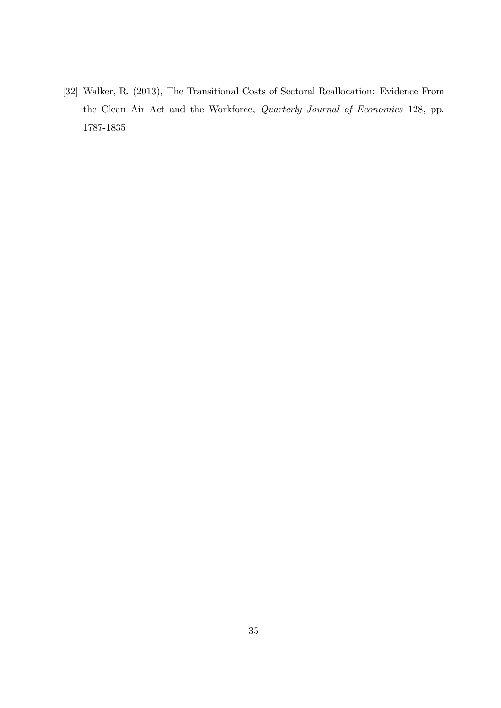[32] Walker, R. (2013), The Transitional Costs of Sectoral Reallocation: Evidence From the Clean Air Act and the Workforce, Quarterly Journal of Economics 128, pp. 1787-1835.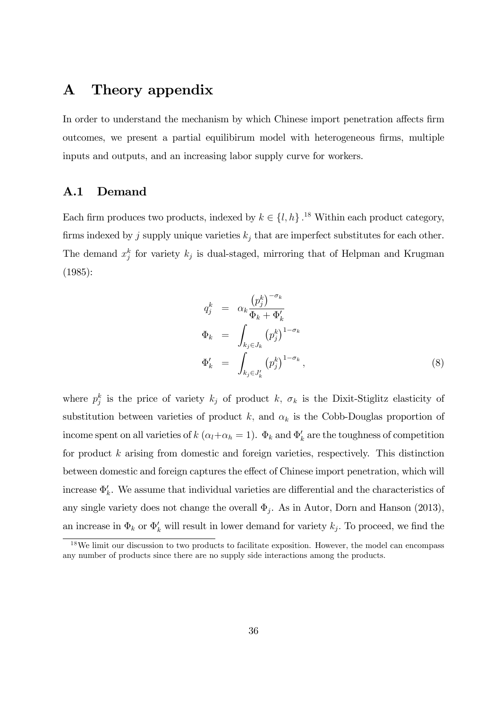# A Theory appendix

In order to understand the mechanism by which Chinese import penetration affects firm outcomes, we present a partial equilibirum model with heterogeneous firms, multiple inputs and outputs, and an increasing labor supply curve for workers.

### A.1 Demand

Each firm produces two products, indexed by  $k \in \{l, h\}$ .<sup>18</sup> Within each product category, firms indexed by j supply unique varieties  $k_j$  that are imperfect substitutes for each other. The demand  $x_j^k$  for variety  $k_j$  is dual-staged, mirroring that of Helpman and Krugman (1985):

$$
q_j^k = \alpha_k \frac{\left(p_j^k\right)^{-\sigma_k}}{\Phi_k + \Phi'_k}
$$
  
\n
$$
\Phi_k = \int_{k_j \in J_k} \left(p_j^k\right)^{1-\sigma_k}
$$
  
\n
$$
\Phi'_k = \int_{k_j \in J'_k} \left(p_j^k\right)^{1-\sigma_k},
$$
\n(8)

where  $p_j^k$  is the price of variety  $k_j$  of product k,  $\sigma_k$  is the Dixit-Stiglitz elasticity of substitution between varieties of product k, and  $\alpha_k$  is the Cobb-Douglas proportion of income spent on all varieties of  $k(\alpha_l + \alpha_h = 1)$ .  $\Phi_k$  and  $\Phi'_k$  are the toughness of competition for product k arising from domestic and foreign varieties, respectively. This distinction between domestic and foreign captures the effect of Chinese import penetration, which will increase  $\Phi'_k$ . We assume that individual varieties are differential and the characteristics of any single variety does not change the overall  $\Phi_j$ . As in Autor, Dorn and Hanson (2013), an increase in  $\Phi_k$  or  $\Phi'_k$  will result in lower demand for variety  $k_j$ . To proceed, we find the

<sup>&</sup>lt;sup>18</sup>We limit our discussion to two products to facilitate exposition. However, the model can encompass any number of products since there are no supply side interactions among the products.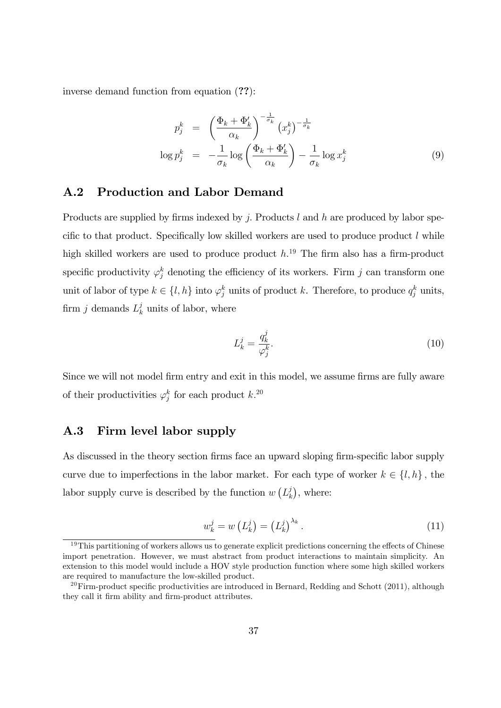inverse demand function from equation (??):

$$
p_j^k = \left(\frac{\Phi_k + \Phi'_k}{\alpha_k}\right)^{-\frac{1}{\sigma_k}} (x_j^k)^{-\frac{1}{\sigma_k}}
$$
  

$$
\log p_j^k = -\frac{1}{\sigma_k} \log \left(\frac{\Phi_k + \Phi'_k}{\alpha_k}\right) - \frac{1}{\sigma_k} \log x_j^k
$$
 (9)

### A.2 Production and Labor Demand

Products are supplied by firms indexed by j. Products  $l$  and  $h$  are produced by labor specific to that product. Specifically low skilled workers are used to produce product  $l$  while high skilled workers are used to produce product  $h^{19}$ . The firm also has a firm-product specific productivity  $\varphi_j^k$  denoting the efficiency of its workers. Firm j can transform one unit of labor of type  $k \in \{l, h\}$  into  $\varphi_j^k$  units of product k. Therefore, to produce  $q_j^k$  units, firm *j* demands  $L_k^j$  $\frac{J}{k}$  units of labor, where

$$
L_k^j = \frac{q_k^j}{\varphi_j^k}.\tag{10}
$$

Since we will not model firm entry and exit in this model, we assume firms are fully aware of their productivities  $\varphi_j^k$  for each product  $k$ .<sup>20</sup>

### A.3 Firm level labor supply

As discussed in the theory section firms face an upward sloping firm-specific labor supply curve due to imperfections in the labor market. For each type of worker  $k \in \{l, h\}$ , the labor supply curve is described by the function  $w(L_k)$  $\binom{j}{k}$ , where:

$$
w_k^j = w\left(L_k^j\right) = \left(L_k^j\right)^{\lambda_k}.\tag{11}
$$

 $19$ This partitioning of workers allows us to generate explicit predictions concerning the effects of Chinese import penetration. However, we must abstract from product interactions to maintain simplicity. An extension to this model would include a HOV style production function where some high skilled workers are required to manufacture the low-skilled product.

<sup>&</sup>lt;sup>20</sup>Firm-product specific productivities are introduced in Bernard, Redding and Schott (2011), although they call it firm ability and firm-product attributes.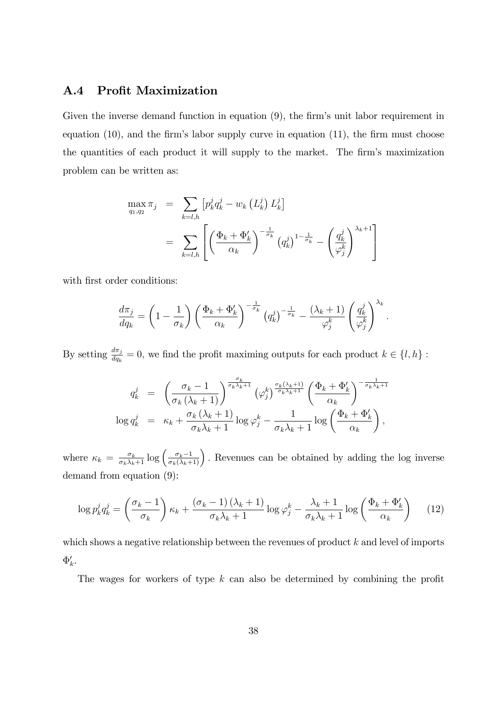### A.4 Profit Maximization

Given the inverse demand function in equation (9), the firm's unit labor requirement in equation  $(10)$ , and the firm's labor supply curve in equation  $(11)$ , the firm must choose the quantities of each product it will supply to the market. The firm's maximization problem can be written as:

$$
\max_{q_1, q_2} \pi_j = \sum_{k=l, h} \left[ p_k^j q_k^j - w_k \left( L_k^j \right) L_k^j \right]
$$
  

$$
= \sum_{k=l, h} \left[ \left( \frac{\Phi_k + \Phi_k'}{\alpha_k} \right)^{-\frac{1}{\sigma_k}} \left( q_k^j \right)^{1-\frac{1}{\sigma_k}} - \left( \frac{q_k^j}{\varphi_j^k} \right)^{\lambda_k+1} \right]
$$

with first order conditions:

$$
\frac{d\pi_j}{dq_k} = \left(1 - \frac{1}{\sigma_k}\right) \left(\frac{\Phi_k + \Phi'_k}{\alpha_k}\right)^{-\frac{1}{\sigma_k}} \left(q_k^j\right)^{-\frac{1}{\sigma_k}} - \frac{(\lambda_k + 1)}{\varphi_j^k} \left(\frac{q_k^j}{\varphi_j^k}\right)^{\lambda_k}
$$

:

By setting  $\frac{d\pi_j}{dq_k} = 0$ , we find the profit maximing outputs for each product  $k \in \{l, h\}$ :

$$
q_k^j = \left(\frac{\sigma_k - 1}{\sigma_k(\lambda_k + 1)}\right)^{\frac{\sigma_k}{\sigma_k \lambda_k + 1}} (\varphi_j^k)^{\frac{\sigma_k(\lambda_k + 1)}{\sigma_k \lambda_k + 1}} \left(\frac{\Phi_k + \Phi'_k}{\alpha_k}\right)^{-\frac{1}{\sigma_k \lambda_k + 1}}
$$
  

$$
\log q_k^j = \kappa_k + \frac{\sigma_k(\lambda_k + 1)}{\sigma_k \lambda_k + 1} \log \varphi_j^k - \frac{1}{\sigma_k \lambda_k + 1} \log \left(\frac{\Phi_k + \Phi'_k}{\alpha_k}\right),
$$

where  $\kappa_k = \frac{\sigma_k}{\sigma_k \lambda_k+1} \log \left( \frac{\sigma_k-1}{\sigma_k(\lambda_k+1)} \right)$ . Revenues can be obtained by adding the log inverse demand from equation (9):

$$
\log p_k^j q_k^j = \left(\frac{\sigma_k - 1}{\sigma_k}\right) \kappa_k + \frac{(\sigma_k - 1)(\lambda_k + 1)}{\sigma_k \lambda_k + 1} \log \varphi_j^k - \frac{\lambda_k + 1}{\sigma_k \lambda_k + 1} \log \left(\frac{\Phi_k + \Phi_k'}{\alpha_k}\right) \tag{12}
$$

which shows a negative relationship between the revenues of product  $k$  and level of imports  $\Phi_k'.$ 

The wages for workers of type  $k$  can also be determined by combining the profit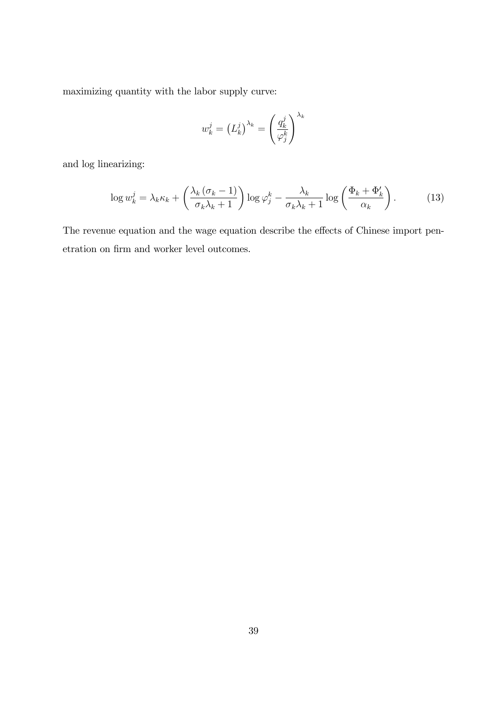maximizing quantity with the labor supply curve:

$$
w_k^j = \left(L_k^j\right)^{\lambda_k} = \left(\frac{q_k^j}{\varphi_j^k}\right)^{\lambda_k}
$$

and log linearizing:

$$
\log w_k^j = \lambda_k \kappa_k + \left(\frac{\lambda_k \left(\sigma_k - 1\right)}{\sigma_k \lambda_k + 1}\right) \log \varphi_j^k - \frac{\lambda_k}{\sigma_k \lambda_k + 1} \log \left(\frac{\Phi_k + \Phi_k'}{\alpha_k}\right). \tag{13}
$$

The revenue equation and the wage equation describe the effects of Chinese import penetration on firm and worker level outcomes.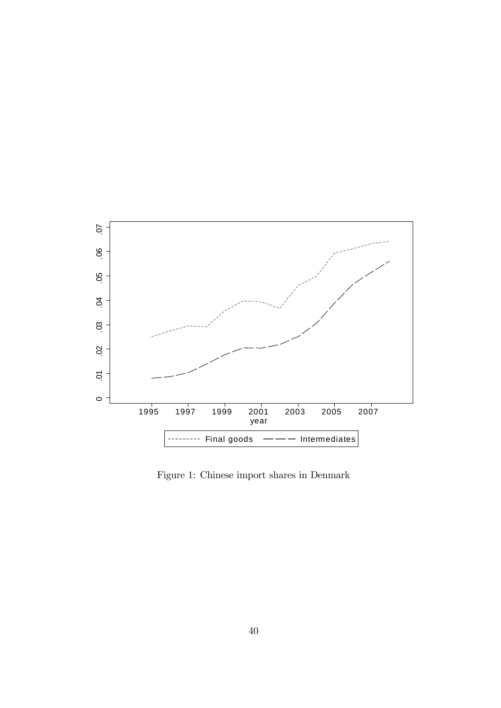

Figure 1: Chinese import shares in Denmark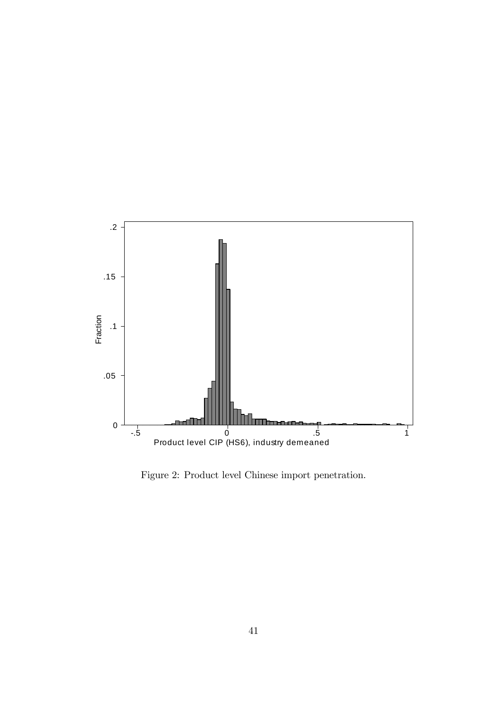

Figure 2: Product level Chinese import penetration.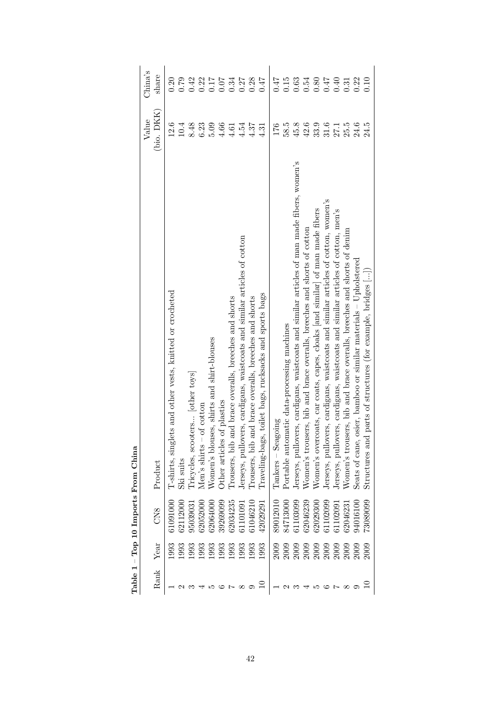|      |             |                 | Table 1 - Top 10 Imports From China                                                        |                  |         |
|------|-------------|-----------------|--------------------------------------------------------------------------------------------|------------------|---------|
|      |             |                 |                                                                                            | Value            | China's |
| Rank | Year        | CN <sub>8</sub> | Product                                                                                    | (bio. DKK)       | share   |
|      | 1993        | 61091000        | glets and other vests, knitted or crocheted<br>T-shirts, sin,                              | 12.6             | 0.20    |
|      | 1993        | 62112000        | Ski suits                                                                                  | $10.4\,$         | 0.79    |
|      | 1993        | 95039031        | Tricycles, scooters [other toys]                                                           | 8.48             | 0.42    |
|      | 1993        | 62052000        | Men's shirts $-$ of cotton                                                                 | 6.23             | 0.22    |
|      | 1993        | 62064000        | ouses, shirts and shirt-blouses<br>Women's blo                                             | 5.09             | 0.17    |
|      | 1993        | 39269099        | Other articles of plastics                                                                 | 4.66             | 0.07    |
|      | 1993        | 62034235        | Trousers, bib and brace overalls, breeches and shorts                                      | 4.61             | 0.34    |
|      | 1993        | 61101091        | lovers, cardigans, waistcoats and similar articles of cotton<br>Jerseys, pull              | 4.54             | 0.27    |
|      | 1993        | 61046210        | Irousers, bib and brace overalls, breeches and shorts                                      | 4.37             | 0.28    |
|      | 1993        | 42029291        | Traveling-bags, toilet bags, rucksacks and sports bags                                     | 4.31             | 71.0    |
|      | <b>2009</b> | 89012010        | $\label{eq:rankers} \begin{aligned} \text{Tankers} - \text{Seagoing} \end{aligned}$        | 176              | 71.0    |
|      | <b>2009</b> | 84713000        | Portable automatic data-processing machines                                                | 58.5             | 0.15    |
|      | <b>2009</b> | 61103099        | Jerseys, pullovers, cardigans, waistcoats and similar articles of man made fibers, women's | $45.8$           | 0.63    |
|      | 2009        | 62046239        | Women's trousers, bib and brace overalls, breeches and shorts of cotton                    | 42.6             | 0.54    |
|      | 2009        | 62029300        | Women's overcoats, car coats, capes, cloaks [and similar] of man made fibers               | 33.9             | 0.80    |
|      | 2009        | 61102099        | overs, cardigans, waistcoats and similar articles of cotton, women's<br>Jerseys, pull      | $31.6\,$         | 0.47    |
|      | <b>2009</b> | 61102091        | overs, cardigans, waistcoats and similar articles of cotton, men's<br>Jerseys, pull        | $27.1$<br>$25.5$ | 0.40    |
|      | 2009        | 62046231        | Women's trousers, bib and brace overalls, breeches and shorts of denim                     |                  | 0.31    |
|      | 2009        | 94016100        | Seats of cane, osier, bamboo or similar materials – Upholstered                            | 24.6             | 0.22    |
|      | <b>2009</b> | 73089099        | nd parts of structures (for example, bridges [])<br>Structures a                           | 24.5             | 0.10    |

| $\sim$      |  |
|-------------|--|
| From        |  |
| S<br>mnorts |  |
| י<br>ז      |  |
| $\Gamma$ op |  |
|             |  |
| Table       |  |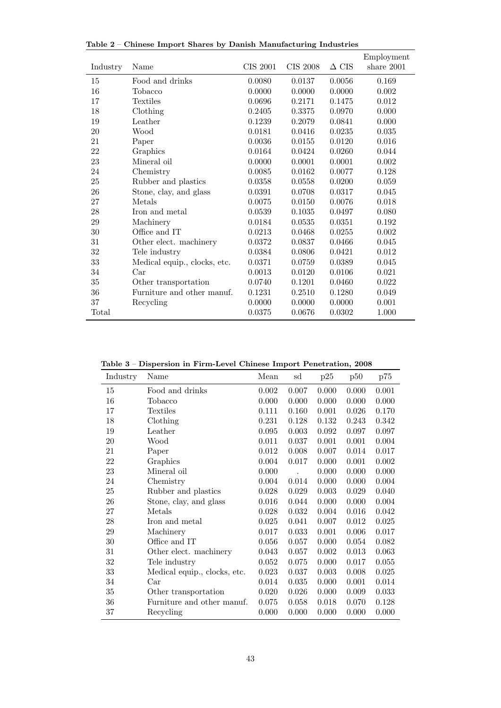|          |                              |          |                 |              | Employment   |
|----------|------------------------------|----------|-----------------|--------------|--------------|
| Industry | Name                         | CIS 2001 | <b>CIS 2008</b> | $\Delta$ CIS | share $2001$ |
| 15       | Food and drinks              | 0.0080   | 0.0137          | 0.0056       | 0.169        |
| 16       | Tobacco                      | 0.0000   | 0.0000          | 0.0000       | 0.002        |
| 17       | <b>Textiles</b>              | 0.0696   | 0.2171          | 0.1475       | 0.012        |
| 18       | Clothing                     | 0.2405   | 0.3375          | 0.0970       | 0.000        |
| 19       | Leather                      | 0.1239   | 0.2079          | 0.0841       | 0.000        |
| $20\,$   | Wood                         | 0.0181   | 0.0416          | 0.0235       | 0.035        |
| 21       | Paper                        | 0.0036   | 0.0155          | 0.0120       | 0.016        |
| 22       | Graphics                     | 0.0164   | 0.0424          | 0.0260       | 0.044        |
| 23       | Mineral oil                  | 0.0000   | 0.0001          | 0.0001       | 0.002        |
| 24       | Chemistry                    | 0.0085   | 0.0162          | 0.0077       | 0.128        |
| 25       | Rubber and plastics          | 0.0358   | 0.0558          | 0.0200       | 0.059        |
| 26       | Stone, clay, and glass       | 0.0391   | 0.0708          | 0.0317       | 0.045        |
| $27\,$   | Metals                       | 0.0075   | 0.0150          | 0.0076       | 0.018        |
| 28       | Iron and metal               | 0.0539   | 0.1035          | 0.0497       | 0.080        |
| 29       | Machinery                    | 0.0184   | 0.0535          | 0.0351       | 0.192        |
| $30\,$   | Office and IT                | 0.0213   | 0.0468          | 0.0255       | 0.002        |
| 31       | Other elect. machinery       | 0.0372   | 0.0837          | 0.0466       | 0.045        |
| $32\,$   | Tele industry                | 0.0384   | 0.0806          | 0.0421       | $0.012\,$    |
| 33       | Medical equip., clocks, etc. | 0.0371   | 0.0759          | 0.0389       | 0.045        |
| 34       | Car                          | 0.0013   | 0.0120          | 0.0106       | 0.021        |
| $35\,$   | Other transportation         | 0.0740   | 0.1201          | 0.0460       | 0.022        |
| $36\,$   | Furniture and other manuf.   | 0.1231   | 0.2510          | 0.1280       | 0.049        |
| 37       | Recycling                    | 0.0000   | 0.0000          | 0.0000       | 0.001        |
| Total    |                              | 0.0375   | 0.0676          | 0.0302       | 1.000        |

Table 2 – Chinese Import Shares by Danish Manufacturing Industries

Table 3 – Dispersion in Firm-Level Chinese Import Penetration, 2008

| Industry | Name                         | Mean      | sd    | p25   | p50   | p75   |
|----------|------------------------------|-----------|-------|-------|-------|-------|
| 15       | Food and drinks              | 0.002     | 0.007 | 0.000 | 0.000 | 0.001 |
| 16       | Tobacco                      | 0.000     | 0.000 | 0.000 | 0.000 | 0.000 |
| 17       | <b>Textiles</b>              | 0.111     | 0.160 | 0.001 | 0.026 | 0.170 |
| 18       | Clothing                     | 0.231     | 0.128 | 0.132 | 0.243 | 0.342 |
| 19       | Leather                      | 0.095     | 0.003 | 0.092 | 0.097 | 0.097 |
| 20       | Wood                         | 0.011     | 0.037 | 0.001 | 0.001 | 0.004 |
| 21       | Paper                        | 0.012     | 0.008 | 0.007 | 0.014 | 0.017 |
| 22       | Graphics                     | 0.004     | 0.017 | 0.000 | 0.001 | 0.002 |
| 23       | Mineral oil                  | 0.000     |       | 0.000 | 0.000 | 0.000 |
| 24       | Chemistry                    | 0.004     | 0.014 | 0.000 | 0.000 | 0.004 |
| 25       | Rubber and plastics          | 0.028     | 0.029 | 0.003 | 0.029 | 0.040 |
| 26       | Stone, clay, and glass       | 0.016     | 0.044 | 0.000 | 0.000 | 0.004 |
| 27       | Metals                       | 0.028     | 0.032 | 0.004 | 0.016 | 0.042 |
| 28       | Iron and metal               | 0.025     | 0.041 | 0.007 | 0.012 | 0.025 |
| 29       | Machinery                    | 0.017     | 0.033 | 0.001 | 0.006 | 0.017 |
| $30\,$   | Office and IT                | 0.056     | 0.057 | 0.000 | 0.054 | 0.082 |
| 31       | Other elect. machinery       | 0.043     | 0.057 | 0.002 | 0.013 | 0.063 |
| 32       | Tele industry                | 0.052     | 0.075 | 0.000 | 0.017 | 0.055 |
| 33       | Medical equip., clocks, etc. | 0.023     | 0.037 | 0.003 | 0.008 | 0.025 |
| 34       | Car                          | 0.014     | 0.035 | 0.000 | 0.001 | 0.014 |
| 35       | Other transportation         | $0.020\,$ | 0.026 | 0.000 | 0.009 | 0.033 |
| 36       | Furniture and other manuf.   | 0.075     | 0.058 | 0.018 | 0.070 | 0.128 |
| 37       | Recycling                    | 0.000     | 0.000 | 0.000 | 0.000 | 0.000 |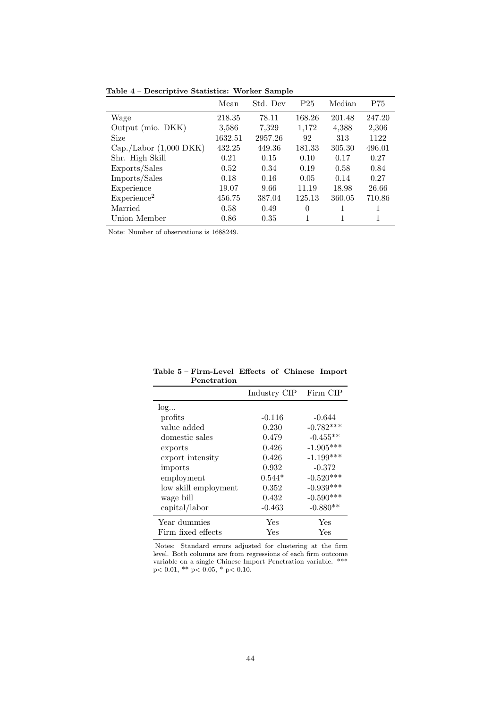Table 4 – Descriptive Statistics: Worker Sample

|                         | Mean    | Std. Dev | P <sub>25</sub> | Median | P75    |
|-------------------------|---------|----------|-----------------|--------|--------|
| Wage                    | 218.35  | 78.11    | 168.26          | 201.48 | 247.20 |
| Output (mio. DKK)       | 3,586   | 7,329    | 1,172           | 4,388  | 2,306  |
| Size                    | 1632.51 | 2957.26  | 92              | 313    | 1122   |
| Cap./Labor (1,000 DKK)  | 432.25  | 449.36   | 181.33          | 305.30 | 496.01 |
| Shr. High Skill         | 0.21    | 0.15     | 0.10            | 0.17   | 0.27   |
| Exports/Sales           | 0.52    | 0.34     | 0.19            | 0.58   | 0.84   |
| Imports/Sales           | 0.18    | 0.16     | 0.05            | 0.14   | 0.27   |
| Experience              | 19.07   | 9.66     | 11.19           | 18.98  | 26.66  |
| Experience <sup>2</sup> | 456.75  | 387.04   | 125.13          | 360.05 | 710.86 |
| Married                 | 0.58    | 0.49     | 0               |        | 1      |
| Union Member            | 0.86    | 0.35     |                 |        | 1      |

Note: Number of observations is 1688249.

| Table 5 - Firm-Level Effects of Chinese Import |  |  |
|------------------------------------------------|--|--|
| Penetration                                    |  |  |

|                      | Industry CIP | Firm CIP    |
|----------------------|--------------|-------------|
| log                  |              |             |
| profits              | $-0.116$     | $-0.644$    |
| value added          | 0.230        | $-0.782***$ |
| domestic sales       | 0.479        | $-0.455**$  |
| exports              | 0.426        | $-1.905***$ |
| export intensity     | 0.426        | $-1.199***$ |
| imports              | 0.932        | $-0.372$    |
| employment           | $0.544*$     | $-0.520***$ |
| low skill employment | 0.352        | $-0.939***$ |
| wage bill            | 0.432        | $-0.590***$ |
| capital/labor        | $-0.463$     | $-0.880**$  |
| Year dummies         | Yes          | Yes         |
| Firm fixed effects   | Yes          | Yes         |

Notes: Standard errors adjusted for clustering at the firm level. Both columns are from regressions of each firm outcome variable on a single Chinese Import Penetration variable. \*\*\* p< 0.01, \*\* p< 0.05, \* p< 0.10.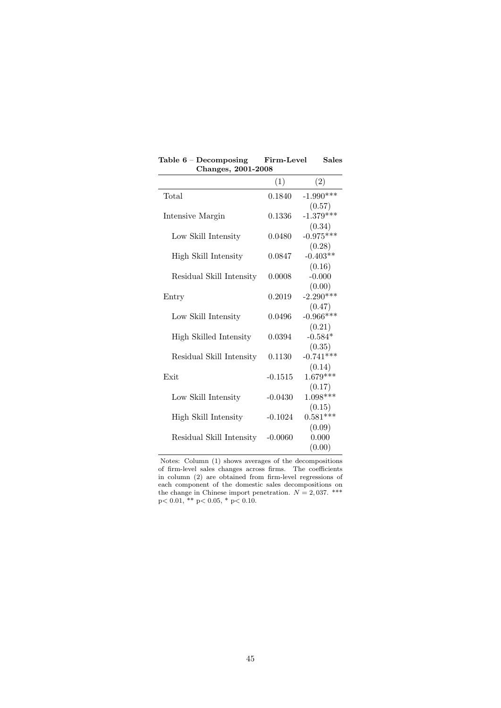| Table $6 - Decomposing$<br>Changes, 2001-2008 | Firm-Level | <b>Sales</b>                    |
|-----------------------------------------------|------------|---------------------------------|
|                                               | (1)        | (2)                             |
| Total                                         | 0.1840     | $-1.990***$                     |
| Intensive Margin                              | 0.1336     | (0.57)<br>$-1.379***$<br>(0.34) |
| Low Skill Intensity                           | 0.0480     | $-0.975***$                     |
| High Skill Intensity                          | 0.0847     | (0.28)<br>$-0.403**$<br>(0.16)  |
| Residual Skill Intensity                      | 0.0008     | $-0.000$<br>(0.00)              |
| Entry                                         | 0.2019     | $-2.290***$                     |
| Low Skill Intensity                           | 0.0496     | (0.47)<br>$-0.966***$           |
| High Skilled Intensity                        | 0.0394     | (0.21)<br>$-0.584*$<br>(0.35)   |
| Residual Skill Intensity                      | 0.1130     | $-0.741***$<br>(0.14)           |
| Exit                                          | $-0.1515$  | $1.679***$<br>(0.17)            |
| Low Skill Intensity                           | $-0.0430$  | $1.098***$                      |
| High Skill Intensity                          | $-0.1024$  | (0.15)<br>$0.581***$            |
| Residual Skill Intensity                      | $-0.0060$  | (0.09)<br>0.000<br>(0.00)       |

Notes: Column (1) shows averages of the decompositions of firm-level sales changes across firms. The coefficients in column (2) are obtained from firm-level regressions of each component of the domestic sales decompositions on the change in Chinese import penetration.  $N = 2,037$ . \*\*\* p< 0.01, \*\* p< 0.05, \* p< 0.10.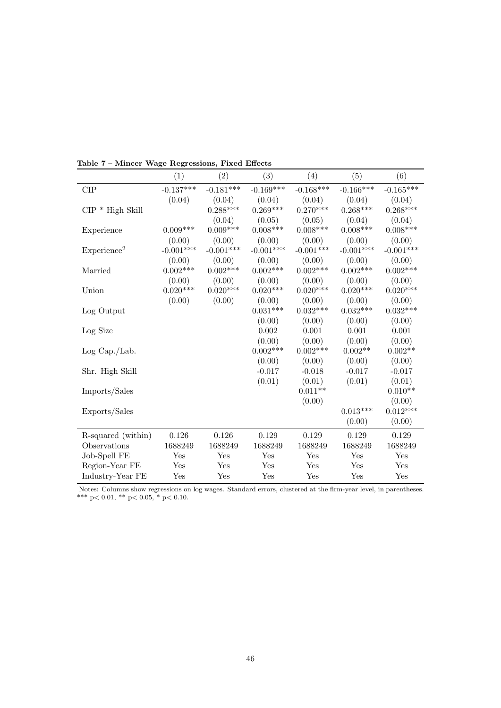|                         | (1)         | (2)             | (3)             | (4)         | (5)              | (6)              |
|-------------------------|-------------|-----------------|-----------------|-------------|------------------|------------------|
| <b>CIP</b>              | $-0.137***$ | $-0.181***$     | $-0.169***$     | $-0.168***$ | $-0.166^{***}\,$ | $-0.165^{***}\,$ |
|                         | (0.04)      | (0.04)          | (0.04)          | (0.04)      | (0.04)           | (0.04)           |
| $CIP * High Skill$      |             | $0.288***$      | $0.269***$      | $0.270***$  | $0.268***$       | $0.268***$       |
|                         |             | (0.04)          | (0.05)          | (0.05)      | (0.04)           | (0.04)           |
| Experience              | $0.009***$  | $0.009***$      | $0.008***$      | $0.008***$  | $0.008***$       | $0.008***$       |
|                         | (0.00)      | (0.00)          | (0.00)          | (0.00)      | (0.00)           | (0.00)           |
| Experience <sup>2</sup> | $-0.001***$ | $-0.001***$     | $-0.001***$     | $-0.001***$ | $-0.001***$      | $-0.001***$      |
|                         | (0.00)      | (0.00)          | (0.00)          | (0.00)      | (0.00)           | (0.00)           |
| Married                 | $0.002***$  | $0.002^{***}\,$ | $0.002^{***}\,$ | $0.002***$  | $0.002***$       | $0.002^{***}\,$  |
|                         | (0.00)      | (0.00)          | (0.00)          | (0.00)      | (0.00)           | (0.00)           |
| Union                   | $0.020***$  | $0.020***$      | $0.020***$      | $0.020***$  | $0.020***$       | $0.020***$       |
|                         | (0.00)      | (0.00)          | (0.00)          | (0.00)      | (0.00)           | (0.00)           |
| Log Output              |             |                 | $0.031***$      | $0.032***$  | $0.032***$       | $0.032***$       |
|                         |             |                 | (0.00)          | (0.00)      | (0.00)           | (0.00)           |
| Log Size                |             |                 | 0.002           | 0.001       | 0.001            | 0.001            |
|                         |             |                 | (0.00)          | (0.00)      | (0.00)           | (0.00)           |
| Log Cap./Lab.           |             |                 | $0.002***$      | $0.002***$  | $0.002**$        | $0.002**$        |
|                         |             |                 | (0.00)          | (0.00)      | (0.00)           | (0.00)           |
| Shr. High Skill         |             |                 | $-0.017$        | $-0.018$    | $-0.017$         | $-0.017$         |
|                         |             |                 | (0.01)          | (0.01)      | (0.01)           | (0.01)           |
| Imports/Sales           |             |                 |                 | $0.011**$   |                  | $0.010**$        |
|                         |             |                 |                 | (0.00)      |                  | (0.00)           |
| Exports/Sales           |             |                 |                 |             | $0.013***$       | $0.012***$       |
|                         |             |                 |                 |             | (0.00)           | (0.00)           |
| R-squared (within)      | 0.126       | 0.126           | 0.129           | 0.129       | 0.129            | 0.129            |
| Observations            | 1688249     | 1688249         | 1688249         | 1688249     | 1688249          | 1688249          |
| Job-Spell FE            | Yes         | Yes             | Yes             | Yes         | Yes              | Yes              |
| Region-Year FE          | Yes         | Yes             | Yes             | Yes         | Yes              | Yes              |
| Industry-Year FE        | Yes         | Yes             | Yes             | Yes         | Yes              | Yes              |

Table 7 – Mincer Wage Regressions, Fixed Effects

Notes: Columns show regressions on log wages. Standard errors, clustered at the firm-year level, in parentheses. \*\*\* p< 0.01, \*\* p< 0.05, \* p< 0.10.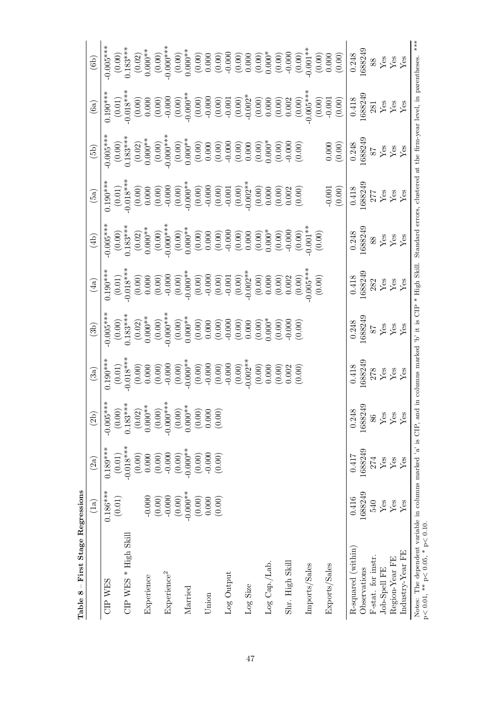| First Stage Regressions<br>$\mathbb{I}$<br>Table 8                                                                                                           |                          |                      |                                                                                                                                          |                                                                                                                                                                                                                                                                                                          |                                                                                                                                                                                                                                                                                                                             |                                                                                                                                                                                                                                                                                                                            |                                                                                                                                                                                                                                                                                                                                     |                                                                                                                                                                                                                                                                                                                                                                                                                                               |                                                                                                                                                                                                                                                                                                                    |                                                                                                                                                                                                                                                                                                                                                  |                                                                                                                                                                                                                                                                                                                                                                                                                |
|--------------------------------------------------------------------------------------------------------------------------------------------------------------|--------------------------|----------------------|------------------------------------------------------------------------------------------------------------------------------------------|----------------------------------------------------------------------------------------------------------------------------------------------------------------------------------------------------------------------------------------------------------------------------------------------------------|-----------------------------------------------------------------------------------------------------------------------------------------------------------------------------------------------------------------------------------------------------------------------------------------------------------------------------|----------------------------------------------------------------------------------------------------------------------------------------------------------------------------------------------------------------------------------------------------------------------------------------------------------------------------|-------------------------------------------------------------------------------------------------------------------------------------------------------------------------------------------------------------------------------------------------------------------------------------------------------------------------------------|-----------------------------------------------------------------------------------------------------------------------------------------------------------------------------------------------------------------------------------------------------------------------------------------------------------------------------------------------------------------------------------------------------------------------------------------------|--------------------------------------------------------------------------------------------------------------------------------------------------------------------------------------------------------------------------------------------------------------------------------------------------------------------|--------------------------------------------------------------------------------------------------------------------------------------------------------------------------------------------------------------------------------------------------------------------------------------------------------------------------------------------------|----------------------------------------------------------------------------------------------------------------------------------------------------------------------------------------------------------------------------------------------------------------------------------------------------------------------------------------------------------------------------------------------------------------|
|                                                                                                                                                              | $\left(1\text{a}\right)$ | (2a)                 | (2b)                                                                                                                                     | (3a)                                                                                                                                                                                                                                                                                                     | (3b)                                                                                                                                                                                                                                                                                                                        | (4a)                                                                                                                                                                                                                                                                                                                       | $\left( 4b\right)$                                                                                                                                                                                                                                                                                                                  | (5a)                                                                                                                                                                                                                                                                                                                                                                                                                                          | $\left(5b\right)$                                                                                                                                                                                                                                                                                                  | (6a)                                                                                                                                                                                                                                                                                                                                             | (6b)                                                                                                                                                                                                                                                                                                                                                                                                           |
| CIP WES                                                                                                                                                      | $0.186***$               | $0.189***$           | $-0.005***$                                                                                                                              |                                                                                                                                                                                                                                                                                                          | $\begin{array}{l} 0.005^{***} \\[-2.008^{***} \\[-2.009] \\[-2.009] \\[-2.009] \\[-2.009] \\[-2.009] \\[-2.009] \\[-2.009] \\[-2.009] \\[-2.009] \\[-2.009] \\[-2.009] \\[-2.009] \\[-2.009] \\[-2.009] \\[-2.009] \\[-2.009] \\[-2.009] \\[-2.009] \\[-2.009] \\[-2.009] \\[-2.009] \\[-2.009] \\[-2.009] \\[-2.009] \\[-$ |                                                                                                                                                                                                                                                                                                                            | $\begin{array}{l} \begin{array}{c} 0.005^{***} \\ 0.005^{***} \\ 0.000^{**} \\ 0.000^{**} \\ 0.000^{**} \\ 0.000^{**} \\ 0.000^{**} \\ 0.000^{**} \\ 0.000^{**} \\ 0.000^{**} \\ 0.000^{**} \\ 0.000^{**} \\ 0.000^{**} \\ 0.000^{**} \\ 0.000^{**} \\ 0.000^{**} \\ 0.000^{**} \\ 0.000^{**} \\ 0.000^{**} \\ 0.000^{**} \\ 0.000$ | $\begin{array}{l} \mbox{\small\textbf{1.96}} \mbox{\small\textbf{1.97}} \mbox{\small\textbf{1.97}} \mbox{\small\textbf{1.98}} \mbox{\small\textbf{1.99}} \mbox{\small\textbf{1.99}} \mbox{\small\textbf{1.99}} \mbox{\small\textbf{1.99}} \mbox{\small\textbf{1.99}} \mbox{\small\textbf{1.99}} \mbox{\small\textbf{1.99}} \mbox{\small\textbf{1.99}} \mbox{\small\textbf{1.99}} \mbox{\small\textbf{1.99}} \mbox{\small\textbf{1.99}} \mbox$ | $\begin{array}{l} 0.005^{***} \\[-2.008^{***} \\[-2.0090] \\[-2.0090] \\[-2.0090] \\[-2.0090] \\[-2.0090] \\[-2.0090] \\[-2.0090] \\[-2.0090] \\[-2.0090] \\[-2.0090] \\[-2.0090] \\[-2.0090] \\[-2.0090] \\[-2.0090] \\[-2.0090] \\[-2.0090] \\[-2.0090] \\[-2.0090] \\[-2.0090] \\[-2.0090] \\[-2.0090] \\[-2.0$ |                                                                                                                                                                                                                                                                                                                                                  |                                                                                                                                                                                                                                                                                                                                                                                                                |
|                                                                                                                                                              | (0.01)                   | $\left( 0.01\right)$ | $\begin{array}{c} (0.00) \\ (0.00) \\ (1.83*** \\ (0.02) \\ (0.00)* \\ (0.000*** \\ (0.000*** \\ (-0.000*** \\ -0.000*** \\ \end{array}$ | $\begin{array}{l} \stackrel{4}{\cancel{5}}\\[-1.5mm] 0.90\\[-1.5mm] 0.90\\[-1.5mm] 0.90\\[-1.5mm] 0.90\\[-1.5mm] 0.90\\[-1.5mm] 0.90\\[-1.5mm] 0.90\\[-1.5mm] 0.90\\[-1.5mm] 0.90\\[-1.5mm] 0.90\\[-1.5mm] 0.90\\[-1.5mm] 0.90\\[-1.5mm] 0.90\\[-1.5mm] 0.90\\[-1.5mm] 0.90\\[-1.5mm] 0.90\\[-1.5mm] 0.$ |                                                                                                                                                                                                                                                                                                                             |                                                                                                                                                                                                                                                                                                                            |                                                                                                                                                                                                                                                                                                                                     |                                                                                                                                                                                                                                                                                                                                                                                                                                               |                                                                                                                                                                                                                                                                                                                    |                                                                                                                                                                                                                                                                                                                                                  |                                                                                                                                                                                                                                                                                                                                                                                                                |
| $CIP$ WES $*$ High Skill                                                                                                                                     |                          | $-0.018***$          |                                                                                                                                          |                                                                                                                                                                                                                                                                                                          |                                                                                                                                                                                                                                                                                                                             |                                                                                                                                                                                                                                                                                                                            |                                                                                                                                                                                                                                                                                                                                     |                                                                                                                                                                                                                                                                                                                                                                                                                                               |                                                                                                                                                                                                                                                                                                                    |                                                                                                                                                                                                                                                                                                                                                  |                                                                                                                                                                                                                                                                                                                                                                                                                |
|                                                                                                                                                              |                          | (0.00)               |                                                                                                                                          |                                                                                                                                                                                                                                                                                                          |                                                                                                                                                                                                                                                                                                                             |                                                                                                                                                                                                                                                                                                                            |                                                                                                                                                                                                                                                                                                                                     |                                                                                                                                                                                                                                                                                                                                                                                                                                               |                                                                                                                                                                                                                                                                                                                    |                                                                                                                                                                                                                                                                                                                                                  |                                                                                                                                                                                                                                                                                                                                                                                                                |
| Experience                                                                                                                                                   | $-0.000$                 | 0.000                |                                                                                                                                          |                                                                                                                                                                                                                                                                                                          |                                                                                                                                                                                                                                                                                                                             |                                                                                                                                                                                                                                                                                                                            |                                                                                                                                                                                                                                                                                                                                     |                                                                                                                                                                                                                                                                                                                                                                                                                                               |                                                                                                                                                                                                                                                                                                                    |                                                                                                                                                                                                                                                                                                                                                  |                                                                                                                                                                                                                                                                                                                                                                                                                |
|                                                                                                                                                              | (0.00)                   | (0.00)               |                                                                                                                                          |                                                                                                                                                                                                                                                                                                          |                                                                                                                                                                                                                                                                                                                             |                                                                                                                                                                                                                                                                                                                            |                                                                                                                                                                                                                                                                                                                                     |                                                                                                                                                                                                                                                                                                                                                                                                                                               |                                                                                                                                                                                                                                                                                                                    |                                                                                                                                                                                                                                                                                                                                                  |                                                                                                                                                                                                                                                                                                                                                                                                                |
| Experience <sup>2</sup>                                                                                                                                      | $-0.000$                 | $-0.000$             |                                                                                                                                          |                                                                                                                                                                                                                                                                                                          |                                                                                                                                                                                                                                                                                                                             |                                                                                                                                                                                                                                                                                                                            |                                                                                                                                                                                                                                                                                                                                     |                                                                                                                                                                                                                                                                                                                                                                                                                                               |                                                                                                                                                                                                                                                                                                                    |                                                                                                                                                                                                                                                                                                                                                  |                                                                                                                                                                                                                                                                                                                                                                                                                |
|                                                                                                                                                              | $(0.00)$                 | (0.00)               | $(0.00)$<br>$0.000**$                                                                                                                    |                                                                                                                                                                                                                                                                                                          |                                                                                                                                                                                                                                                                                                                             |                                                                                                                                                                                                                                                                                                                            |                                                                                                                                                                                                                                                                                                                                     |                                                                                                                                                                                                                                                                                                                                                                                                                                               |                                                                                                                                                                                                                                                                                                                    |                                                                                                                                                                                                                                                                                                                                                  |                                                                                                                                                                                                                                                                                                                                                                                                                |
| Married                                                                                                                                                      | $-0.000**$               | $-0.000**$           |                                                                                                                                          |                                                                                                                                                                                                                                                                                                          |                                                                                                                                                                                                                                                                                                                             |                                                                                                                                                                                                                                                                                                                            |                                                                                                                                                                                                                                                                                                                                     |                                                                                                                                                                                                                                                                                                                                                                                                                                               |                                                                                                                                                                                                                                                                                                                    |                                                                                                                                                                                                                                                                                                                                                  |                                                                                                                                                                                                                                                                                                                                                                                                                |
|                                                                                                                                                              | (0.00)                   | (0.00)               | $(0.00)$<br>$(0.00)$                                                                                                                     |                                                                                                                                                                                                                                                                                                          |                                                                                                                                                                                                                                                                                                                             |                                                                                                                                                                                                                                                                                                                            |                                                                                                                                                                                                                                                                                                                                     |                                                                                                                                                                                                                                                                                                                                                                                                                                               |                                                                                                                                                                                                                                                                                                                    |                                                                                                                                                                                                                                                                                                                                                  |                                                                                                                                                                                                                                                                                                                                                                                                                |
| Union                                                                                                                                                        | 0.000                    | $-0.000$             |                                                                                                                                          |                                                                                                                                                                                                                                                                                                          |                                                                                                                                                                                                                                                                                                                             |                                                                                                                                                                                                                                                                                                                            |                                                                                                                                                                                                                                                                                                                                     |                                                                                                                                                                                                                                                                                                                                                                                                                                               |                                                                                                                                                                                                                                                                                                                    |                                                                                                                                                                                                                                                                                                                                                  |                                                                                                                                                                                                                                                                                                                                                                                                                |
|                                                                                                                                                              | (0.00)                   | (0.00)               | (0.00)                                                                                                                                   |                                                                                                                                                                                                                                                                                                          |                                                                                                                                                                                                                                                                                                                             |                                                                                                                                                                                                                                                                                                                            |                                                                                                                                                                                                                                                                                                                                     |                                                                                                                                                                                                                                                                                                                                                                                                                                               |                                                                                                                                                                                                                                                                                                                    |                                                                                                                                                                                                                                                                                                                                                  |                                                                                                                                                                                                                                                                                                                                                                                                                |
| Log Output                                                                                                                                                   |                          |                      |                                                                                                                                          |                                                                                                                                                                                                                                                                                                          |                                                                                                                                                                                                                                                                                                                             |                                                                                                                                                                                                                                                                                                                            |                                                                                                                                                                                                                                                                                                                                     |                                                                                                                                                                                                                                                                                                                                                                                                                                               |                                                                                                                                                                                                                                                                                                                    |                                                                                                                                                                                                                                                                                                                                                  |                                                                                                                                                                                                                                                                                                                                                                                                                |
|                                                                                                                                                              |                          |                      |                                                                                                                                          |                                                                                                                                                                                                                                                                                                          |                                                                                                                                                                                                                                                                                                                             |                                                                                                                                                                                                                                                                                                                            |                                                                                                                                                                                                                                                                                                                                     |                                                                                                                                                                                                                                                                                                                                                                                                                                               |                                                                                                                                                                                                                                                                                                                    |                                                                                                                                                                                                                                                                                                                                                  |                                                                                                                                                                                                                                                                                                                                                                                                                |
| Log Size                                                                                                                                                     |                          |                      |                                                                                                                                          |                                                                                                                                                                                                                                                                                                          |                                                                                                                                                                                                                                                                                                                             |                                                                                                                                                                                                                                                                                                                            |                                                                                                                                                                                                                                                                                                                                     |                                                                                                                                                                                                                                                                                                                                                                                                                                               |                                                                                                                                                                                                                                                                                                                    |                                                                                                                                                                                                                                                                                                                                                  |                                                                                                                                                                                                                                                                                                                                                                                                                |
|                                                                                                                                                              |                          |                      |                                                                                                                                          |                                                                                                                                                                                                                                                                                                          |                                                                                                                                                                                                                                                                                                                             |                                                                                                                                                                                                                                                                                                                            |                                                                                                                                                                                                                                                                                                                                     |                                                                                                                                                                                                                                                                                                                                                                                                                                               |                                                                                                                                                                                                                                                                                                                    |                                                                                                                                                                                                                                                                                                                                                  |                                                                                                                                                                                                                                                                                                                                                                                                                |
| Log Cap./Lab.                                                                                                                                                |                          |                      |                                                                                                                                          |                                                                                                                                                                                                                                                                                                          |                                                                                                                                                                                                                                                                                                                             |                                                                                                                                                                                                                                                                                                                            |                                                                                                                                                                                                                                                                                                                                     |                                                                                                                                                                                                                                                                                                                                                                                                                                               |                                                                                                                                                                                                                                                                                                                    |                                                                                                                                                                                                                                                                                                                                                  |                                                                                                                                                                                                                                                                                                                                                                                                                |
|                                                                                                                                                              |                          |                      |                                                                                                                                          |                                                                                                                                                                                                                                                                                                          |                                                                                                                                                                                                                                                                                                                             |                                                                                                                                                                                                                                                                                                                            |                                                                                                                                                                                                                                                                                                                                     |                                                                                                                                                                                                                                                                                                                                                                                                                                               |                                                                                                                                                                                                                                                                                                                    |                                                                                                                                                                                                                                                                                                                                                  |                                                                                                                                                                                                                                                                                                                                                                                                                |
| Shr. High Skill                                                                                                                                              |                          |                      |                                                                                                                                          |                                                                                                                                                                                                                                                                                                          |                                                                                                                                                                                                                                                                                                                             |                                                                                                                                                                                                                                                                                                                            |                                                                                                                                                                                                                                                                                                                                     |                                                                                                                                                                                                                                                                                                                                                                                                                                               |                                                                                                                                                                                                                                                                                                                    |                                                                                                                                                                                                                                                                                                                                                  |                                                                                                                                                                                                                                                                                                                                                                                                                |
|                                                                                                                                                              |                          |                      |                                                                                                                                          |                                                                                                                                                                                                                                                                                                          |                                                                                                                                                                                                                                                                                                                             |                                                                                                                                                                                                                                                                                                                            |                                                                                                                                                                                                                                                                                                                                     |                                                                                                                                                                                                                                                                                                                                                                                                                                               |                                                                                                                                                                                                                                                                                                                    |                                                                                                                                                                                                                                                                                                                                                  |                                                                                                                                                                                                                                                                                                                                                                                                                |
| Imports/Sales                                                                                                                                                |                          |                      |                                                                                                                                          |                                                                                                                                                                                                                                                                                                          |                                                                                                                                                                                                                                                                                                                             | $\begin{array}{l} 1.90^{***} \\[-2.0ex] -0.01 \\[-2.0ex] -0.01 \\[-2.0ex] -0.000 \\[-2.0ex] -0.000 \\[-2.0ex] -0.000 \\[-2.0ex] -0.000 \\[-2.0ex] -0.000 \\[-2.0ex] -0.000 \\[-2.0ex] -0.000 \\[-2.0ex] -0.000 \\[-2.0ex] -0.000 \\[-2.0ex] -0.000 \\[-2.0ex] -0.000 \\[-2.0ex] -0.000 \\[-2.0ex] -0.000 \\[-2.0ex] -0.00$ |                                                                                                                                                                                                                                                                                                                                     |                                                                                                                                                                                                                                                                                                                                                                                                                                               |                                                                                                                                                                                                                                                                                                                    | $\begin{array}{l} \stackrel{4}{\cancel{5}}\\[-2.0ex] 0.9 \\[-2.0ex] -0.9 \\[-2.0ex] -0.9 \\[-2.0ex] -0.9 \\[-2.0ex] -0.9 \\[-2.0ex] -0.9 \\[-2.0ex] -0.9 \\[-2.0ex] -0.9 \\[-2.0ex] -0.9 \\[-2.0ex] -0.9 \\[-2.0ex] -0.9 \\[-2.0ex] -0.9 \\[-2.0ex] -0.9 \\[-2.0ex] -0.9 \\[-2.0ex] -0.9 \\[-2.0ex] -0.9 \\[-2.0ex] -0.9 \\[-2.0ex] -0.9 \\[-2.$ | $\begin{array}{l} \begin{array}{l} \text{\#} \\[-2.0ex] \text{\#} \\[-2.0ex] \text{\#} \\[-2.0ex] \text{\#} \\[-2.0ex] \text{\#} \\[-2.0ex] \text{\#} \\[-2.0ex] \text{\#} \\[-2.0ex] \text{\#} \\[-2.0ex] \text{\#} \\[-2.0ex] \text{\#} \\[-2.0ex] \text{\#} \\[-2.0ex] \text{\#} \\[-2.0ex] \text{\#} \\[-2.0ex] \text{\#} \\[-2.0ex] \text{\#} \\[-2.0ex] \text{\#} \\[-2.0ex] \text{\#} \\[-2.0ex] \text$ |
|                                                                                                                                                              |                          |                      |                                                                                                                                          |                                                                                                                                                                                                                                                                                                          |                                                                                                                                                                                                                                                                                                                             |                                                                                                                                                                                                                                                                                                                            |                                                                                                                                                                                                                                                                                                                                     |                                                                                                                                                                                                                                                                                                                                                                                                                                               |                                                                                                                                                                                                                                                                                                                    |                                                                                                                                                                                                                                                                                                                                                  |                                                                                                                                                                                                                                                                                                                                                                                                                |
| Exports/Sales                                                                                                                                                |                          |                      |                                                                                                                                          |                                                                                                                                                                                                                                                                                                          |                                                                                                                                                                                                                                                                                                                             |                                                                                                                                                                                                                                                                                                                            |                                                                                                                                                                                                                                                                                                                                     |                                                                                                                                                                                                                                                                                                                                                                                                                                               | (0.000)                                                                                                                                                                                                                                                                                                            |                                                                                                                                                                                                                                                                                                                                                  |                                                                                                                                                                                                                                                                                                                                                                                                                |
|                                                                                                                                                              |                          |                      |                                                                                                                                          |                                                                                                                                                                                                                                                                                                          |                                                                                                                                                                                                                                                                                                                             |                                                                                                                                                                                                                                                                                                                            |                                                                                                                                                                                                                                                                                                                                     | $-0.001$<br>(0.00)                                                                                                                                                                                                                                                                                                                                                                                                                            |                                                                                                                                                                                                                                                                                                                    |                                                                                                                                                                                                                                                                                                                                                  |                                                                                                                                                                                                                                                                                                                                                                                                                |
| R-squared (within)                                                                                                                                           | 0.416                    | 0.417                | $\infty$<br>0.24                                                                                                                         | $0.418$<br>$0.688249$                                                                                                                                                                                                                                                                                    | $\begin{array}{c} 0.248 \\ 1688249 \\ 87 \\ \text{Yes} \\ \text{Yes} \\ \text{Yes} \\ \end{array}$                                                                                                                                                                                                                          | $\begin{array}{c} 0.418 \\ 1688249 \\ 282 \\ Y \text{es} \\ Y \text{es} \\ Y \text{es} \\ Y \text{es} \end{array}$                                                                                                                                                                                                         | $0.248$<br>1688249                                                                                                                                                                                                                                                                                                                  | $\begin{array}{c} 0.418 \\ 1688249 \\ 277 \\ \text{Yes} \\ \text{Yes} \\ \text{Yes} \\ \end{array}$                                                                                                                                                                                                                                                                                                                                           | $\begin{array}{c} 0.248 \\ 1688249 \\ 87 \\ \text{Yes} \\ \text{Yes} \\ \text{Yes} \\ \end{array}$                                                                                                                                                                                                                 |                                                                                                                                                                                                                                                                                                                                                  | $\begin{array}{c} 0.248 \\ 1688249 \\ 88 \\ \text{Yes} \\ \text{Yes} \\ \text{Yes} \\ \text{Yes} \end{array}$                                                                                                                                                                                                                                                                                                  |
| Observations                                                                                                                                                 | 1688249                  | 1688249              | 1688249                                                                                                                                  |                                                                                                                                                                                                                                                                                                          |                                                                                                                                                                                                                                                                                                                             |                                                                                                                                                                                                                                                                                                                            |                                                                                                                                                                                                                                                                                                                                     |                                                                                                                                                                                                                                                                                                                                                                                                                                               |                                                                                                                                                                                                                                                                                                                    |                                                                                                                                                                                                                                                                                                                                                  |                                                                                                                                                                                                                                                                                                                                                                                                                |
| F-stat. for instr.                                                                                                                                           | 540                      | 274                  | 86                                                                                                                                       | $\frac{278}{Yes}$ Yes                                                                                                                                                                                                                                                                                    |                                                                                                                                                                                                                                                                                                                             |                                                                                                                                                                                                                                                                                                                            | $\frac{88}{168}$ $\frac{168}{168}$                                                                                                                                                                                                                                                                                                  |                                                                                                                                                                                                                                                                                                                                                                                                                                               |                                                                                                                                                                                                                                                                                                                    | $\begin{array}{c} 0.418 \\ 1688249 \\ 281 \\ \text{Yes} \\ \text{Yes} \\ \text{Yes} \\ \text{Yes} \end{array}$                                                                                                                                                                                                                                   |                                                                                                                                                                                                                                                                                                                                                                                                                |
| Job-Spell FE                                                                                                                                                 | Yes                      | $Y$ es               | $_{\rm Yes}$                                                                                                                             |                                                                                                                                                                                                                                                                                                          |                                                                                                                                                                                                                                                                                                                             |                                                                                                                                                                                                                                                                                                                            |                                                                                                                                                                                                                                                                                                                                     |                                                                                                                                                                                                                                                                                                                                                                                                                                               |                                                                                                                                                                                                                                                                                                                    |                                                                                                                                                                                                                                                                                                                                                  |                                                                                                                                                                                                                                                                                                                                                                                                                |
| Region-Year FE                                                                                                                                               | Yes                      | Yes                  | $_{\rm Yes}$                                                                                                                             |                                                                                                                                                                                                                                                                                                          |                                                                                                                                                                                                                                                                                                                             |                                                                                                                                                                                                                                                                                                                            |                                                                                                                                                                                                                                                                                                                                     |                                                                                                                                                                                                                                                                                                                                                                                                                                               |                                                                                                                                                                                                                                                                                                                    |                                                                                                                                                                                                                                                                                                                                                  |                                                                                                                                                                                                                                                                                                                                                                                                                |
| Industry-Year FE                                                                                                                                             | Yes                      | Yes                  | $_{\rm Yes}$                                                                                                                             |                                                                                                                                                                                                                                                                                                          |                                                                                                                                                                                                                                                                                                                             |                                                                                                                                                                                                                                                                                                                            |                                                                                                                                                                                                                                                                                                                                     |                                                                                                                                                                                                                                                                                                                                                                                                                                               |                                                                                                                                                                                                                                                                                                                    |                                                                                                                                                                                                                                                                                                                                                  |                                                                                                                                                                                                                                                                                                                                                                                                                |
| Notes: The dependent variable in columns marked 'a' is CIP, and in columns marked 'b' it is CIP * High Skill.<br>$p < 0.01$ , ** $p < 0.05$ , * $p < 0.10$ . |                          |                      |                                                                                                                                          |                                                                                                                                                                                                                                                                                                          |                                                                                                                                                                                                                                                                                                                             |                                                                                                                                                                                                                                                                                                                            |                                                                                                                                                                                                                                                                                                                                     | Standard errors, clustered at the firm-year level, in parentheses.                                                                                                                                                                                                                                                                                                                                                                            |                                                                                                                                                                                                                                                                                                                    |                                                                                                                                                                                                                                                                                                                                                  | $***$                                                                                                                                                                                                                                                                                                                                                                                                          |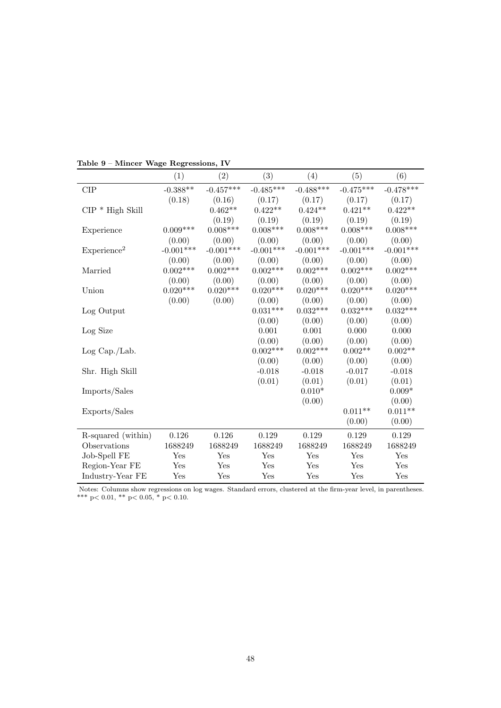|                         | (1)          | $\left( 2\right)$ | (3)         | (4)         | (5)         | (6)             |
|-------------------------|--------------|-------------------|-------------|-------------|-------------|-----------------|
| CIP                     | $-0.388**$   | $-0.457***$       | $-0.485***$ | $-0.488***$ | $-0.475***$ | $-0.478***$     |
|                         | (0.18)       | (0.16)            | (0.17)      | (0.17)      | (0.17)      | (0.17)          |
| $CIP * High Skill$      |              | $0.462**$         | $0.422**$   | $0.424**$   | $0.421**$   | $0.422**$       |
|                         |              | (0.19)            | (0.19)      | (0.19)      | (0.19)      | (0.19)          |
| Experience              | $0.009***$   | $0.008***$        | $0.008***$  | $0.008***$  | $0.008***$  | $0.008***$      |
|                         | (0.00)       | (0.00)            | (0.00)      | (0.00)      | (0.00)      | (0.00)          |
| Experience <sup>2</sup> | $-0.001***$  | $-0.001***$       | $-0.001***$ | $-0.001***$ | $-0.001***$ | $-0.001***$     |
|                         | (0.00)       | (0.00)            | (0.00)      | (0.00)      | (0.00)      | (0.00)          |
| Married                 | $0.002***$   | $0.002***$        | $0.002***$  | $0.002***$  | $0.002***$  | $0.002***$      |
|                         | (0.00)       | (0.00)            | (0.00)      | (0.00)      | (0.00)      | (0.00)          |
| Union                   | $0.020***$   | $0.020***$        | $0.020***$  | $0.020***$  | $0.020***$  | $0.020***$      |
|                         | (0.00)       | (0.00)            | (0.00)      | (0.00)      | (0.00)      | (0.00)          |
| Log Output              |              |                   | $0.031***$  | $0.032***$  | $0.032***$  | $0.032^{***}\,$ |
|                         |              |                   | (0.00)      | (0.00)      | (0.00)      | (0.00)          |
| Log Size                |              |                   | 0.001       | 0.001       | 0.000       | $0.000\,$       |
|                         |              |                   | (0.00)      | (0.00)      | (0.00)      | (0.00)          |
| Log Cap./Lab.           |              |                   | $0.002***$  | $0.002***$  | $0.002**$   | $0.002**$       |
|                         |              |                   | (0.00)      | (0.00)      | (0.00)      | (0.00)          |
| Shr. High Skill         |              |                   | $-0.018$    | $-0.018$    | $-0.017$    | $-0.018$        |
|                         |              |                   | (0.01)      | (0.01)      | (0.01)      | (0.01)          |
| Imports/Sales           |              |                   |             | $0.010*$    |             | $0.009*$        |
|                         |              |                   |             | (0.00)      |             | (0.00)          |
| Exports/Sales           |              |                   |             |             | $0.011**$   | $0.011**$       |
|                         |              |                   |             |             | (0.00)      | (0.00)          |
| R-squared (within)      | 0.126        | $0.126\,$         | 0.129       | 0.129       | 0.129       | $0.129\,$       |
| Observations            | 1688249      | 1688249           | 1688249     | 1688249     | 1688249     | 1688249         |
| Job-Spell FE            | Yes          | Yes               | Yes         | Yes         | Yes         | Yes             |
| Region-Year FE          | $_{\rm Yes}$ | Yes               | Yes         | Yes         | Yes         | Yes             |
| Industry-Year FE        | Yes          | Yes               | Yes         | Yes         | Yes         | Yes             |

Table 9 – Mincer Wage Regressions, IV

Notes: Columns show regressions on log wages. Standard errors, clustered at the firm-year level, in parentheses. \*\*\* p< 0.01, \*\* p< 0.05, \* p< 0.10.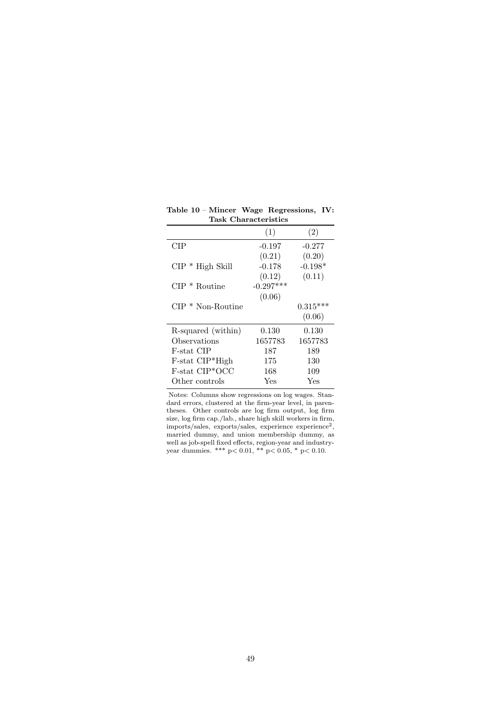|                             | (1)         | (2)        |
|-----------------------------|-------------|------------|
| CIP                         | $-0.197$    | $-0.277$   |
|                             | (0.21)      | (0.20)     |
| $CIP * High Skill$          | $-0.178$    | $-0.198*$  |
|                             | (0.12)      | (0.11)     |
| $CIP * R$ outine            | $-0.297***$ |            |
|                             | (0.06)      |            |
| $CIP * Non-Roundine$        |             | $0.315***$ |
|                             |             | (0.06)     |
| R-squared (within)          | 0.130       | 0.130      |
| Observations                | 1657783     | 1657783    |
| F-stat CIP                  | 187         | 189        |
| $F$ -stat $CIP^*High$       | 175         | 130        |
| F-stat CIP <sup>*</sup> OCC | 168         | 109        |
| Other controls              | Yes         | Yes        |

Table 10 – Mincer Wage Regressions, IV: Task Characteristics l,

Notes: Columns show regressions on log wages. Standard errors, clustered at the firm-year level, in parentheses. Other controls are log firm output, log firm size, log firm cap./lab., share high skill workers in firm, imports/sales, exports/sales, experience experience<sup>2</sup>, married dummy, and union membership dummy, as well as job-spell fixed effects, region-year and industryyear dummies. \*\*\* p< 0.01, \*\* p< 0.05, \* p< 0.10.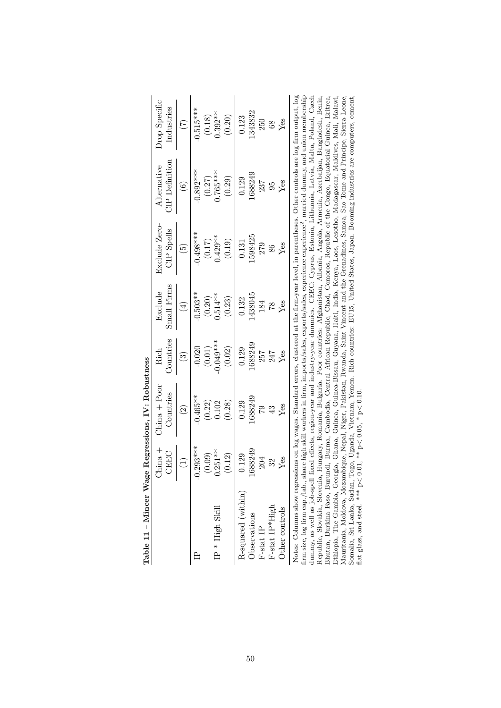|                                                                                                                                                                                                                                                                                                                                                                                                                                                                                                                                                                                                                                                                                                                                                                                                                                                                                                                                                                                                                                                                                                                                                                                                                                                                                                                       | $\frac{+}{2}$<br>EEC | $\frac{1}{2}$ China + Poor<br>Countries | Countries<br>Rich      | $\text{Small}~\text{Firms}$<br>Exclude | Exclude Zero-<br><b>CIP</b> Spells | <b>TP</b> Definition<br>Alternative | Drop Specific<br>Industries |
|-----------------------------------------------------------------------------------------------------------------------------------------------------------------------------------------------------------------------------------------------------------------------------------------------------------------------------------------------------------------------------------------------------------------------------------------------------------------------------------------------------------------------------------------------------------------------------------------------------------------------------------------------------------------------------------------------------------------------------------------------------------------------------------------------------------------------------------------------------------------------------------------------------------------------------------------------------------------------------------------------------------------------------------------------------------------------------------------------------------------------------------------------------------------------------------------------------------------------------------------------------------------------------------------------------------------------|----------------------|-----------------------------------------|------------------------|----------------------------------------|------------------------------------|-------------------------------------|-----------------------------|
|                                                                                                                                                                                                                                                                                                                                                                                                                                                                                                                                                                                                                                                                                                                                                                                                                                                                                                                                                                                                                                                                                                                                                                                                                                                                                                                       |                      | $\widehat{\Omega}$                      | $\widehat{\mathbb{G}}$ | $\widehat{4}$                          | $\widehat{E}$                      | $\widehat{\mathbf{e}}$              | E                           |
|                                                                                                                                                                                                                                                                                                                                                                                                                                                                                                                                                                                                                                                                                                                                                                                                                                                                                                                                                                                                                                                                                                                                                                                                                                                                                                                       | $-0.293***$<br>0.09) | $-0.465**$<br>(0.22)                    | $-0.020$<br>(0.01)     | $-0.503**$<br>(0.20)                   | $-0.498***$<br>$(0.17)$            | $-0.892***$                         | $-0.515***$<br>(0.18)       |
| $IP$ * ${\rm High\; Skill}$                                                                                                                                                                                                                                                                                                                                                                                                                                                                                                                                                                                                                                                                                                                                                                                                                                                                                                                                                                                                                                                                                                                                                                                                                                                                                           | $0.251***$<br>0.12)  | 0.102<br>(0.28)                         | $-0.049***$<br>(0.02)  | $0.514***$<br>(0.23)                   | $0.429**$<br>(0.19)                | $(0.27)$<br>0.765***<br>(0.29)      | $0.392**$<br>(0.20)         |
| R-squared (within)<br>Observations                                                                                                                                                                                                                                                                                                                                                                                                                                                                                                                                                                                                                                                                                                                                                                                                                                                                                                                                                                                                                                                                                                                                                                                                                                                                                    | 1688249<br>129       | 1688249<br>0.129                        | 1688249<br>0.129       | 438045<br>0.132                        | 1598425<br>0.131                   | .688249<br>0.129                    | .343832<br>0.123            |
| $F\text{-stat IP}$                                                                                                                                                                                                                                                                                                                                                                                                                                                                                                                                                                                                                                                                                                                                                                                                                                                                                                                                                                                                                                                                                                                                                                                                                                                                                                    | 204                  | 62                                      | 257                    | 184                                    | 279                                | 237                                 | 250                         |
| F-stat IP*High                                                                                                                                                                                                                                                                                                                                                                                                                                                                                                                                                                                                                                                                                                                                                                                                                                                                                                                                                                                                                                                                                                                                                                                                                                                                                                        | 32                   | $\mathfrak{P}$                          | 247                    | 87                                     | 86                                 | 95                                  | $\rm 68$                    |
| Other controls                                                                                                                                                                                                                                                                                                                                                                                                                                                                                                                                                                                                                                                                                                                                                                                                                                                                                                                                                                                                                                                                                                                                                                                                                                                                                                        | Yes                  | Yes                                     | Yes                    | Yes                                    | Yes                                | Yes                                 | Yes                         |
| Notes: Columns show regressions on log wages. Standard errors, clustered at the firm-year level, in parentheses. Other controls are log firm output, log<br>firm size, log firm cap./lab., share high skill workers in firm, imports/sales, exports/sales, experience experience <sup>2</sup> , married dummy, and union membership<br>Somalia, Sri Lanka, Sudan, Togo, Uganda, Vietnam, Yemen. Rich countries: EU15, United States, Japan. Booming industries are computers, cement,<br>dummy, as well as job-spell fixed effects, region-year and industry-year dummies. CEEC: Cyprus, Estonia, Lithuania, Latvia, Malta, Poland, Czech<br>Ethiopia, The Gambia, Georgia, Ghana, Guinea, Guinea-Bissau, Guyana, Haiti, India, Kenya, Laos, Lesotho, Madagascar, Maldives, Mali, Malawi,<br>Mauritania, Moldova, Mozambique, Nepal, Niger, Pakistan, Rwanda, Saint Vincent and the Grenadines, Samoa, Sao Tome and Principe, Sierra Leone,<br>Republic, Slovakia, Slovenia, Hungary, Romania, Bulgaria. Poor countries: Afghanistan, Albania, Angola, Armenia, Azerbaijan, Bangladesh, Benin,<br>Bhutan, Burkina Faso, Burundi, Burma, Cambodia, Central African Republic, Chad, Comoros, Republic of the Congo, Equatorial Guinea, Eritrea.<br>flat glass, and steel. *** $p < 0.01$ , ** $p < 0.05$ , * $p < 0.10$ |                      |                                         |                        |                                        |                                    |                                     |                             |

Table 11 – Mincer Wage Regressions, IV: Robustness Table 11 – Mincer Wage Regressions, IV: Robustness

flat glass, and steel. \*\*\*  $p < 0.01$ , \*\*  $p < 0.05$ , \*  $p < 0.10$ .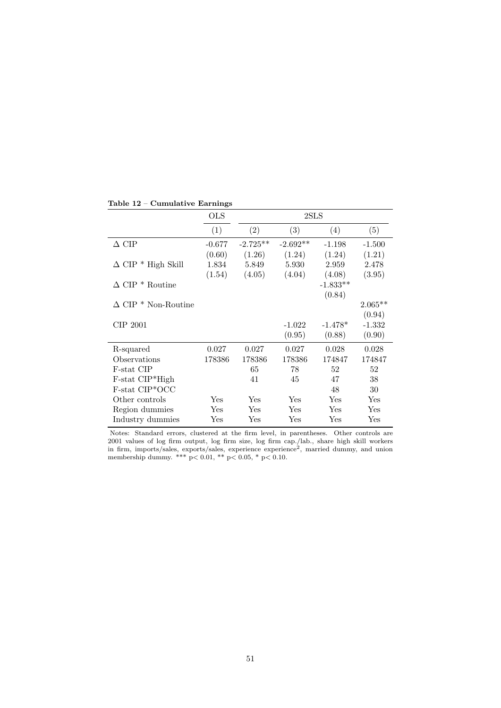|                               | OLS      |            | 2SLS                 |            |           |
|-------------------------------|----------|------------|----------------------|------------|-----------|
|                               | (1)      | (2)        | (3)                  | (4)        | (5)       |
| $\Delta$ CIP                  | $-0.677$ | $-2.725**$ | $-2.692**$           | $-1.198$   | $-1.500$  |
|                               | (0.60)   | (1.26)     | (1.24)               | (1.24)     | (1.21)    |
| $\Delta$ CIP * High Skill     | 1.834    | 5.849      | 5.930                | 2.959      | 2.478     |
|                               | (1.54)   | (4.05)     | (4.04)               | (4.08)     | (3.95)    |
| $\Delta$ CIP $^*$ Routine     |          |            |                      | $-1.833**$ |           |
|                               |          |            |                      | (0.84)     |           |
| $\Delta$ CIP $^*$ Non-Routine |          |            |                      |            | $2.065**$ |
|                               |          |            |                      |            | (0.94)    |
| CIP 2001                      |          |            | $-1.022$             | $-1.478*$  | $-1.332$  |
|                               |          |            | (0.95)               | (0.88)     | (0.90)    |
| R-squared                     | 0.027    | 0.027      | 0.027                | 0.028      | 0.028     |
| Observations                  | 178386   | 178386     | 178386               | 174847     | 174847    |
| F-stat CIP                    |          | 65         | 78                   | 52         | 52        |
| F-stat CIP*High               |          | 41         | 45                   | 47         | 38        |
| F-stat CIP*OCC                |          |            |                      | 48         | 30        |
| Other controls                | Yes      | Yes        | $\operatorname{Yes}$ | Yes        | Yes       |
| Region dummies                | Yes      | Yes        | $\operatorname{Yes}$ | Yes        | Yes       |
| Industry dummies              | Yes      | Yes        | Yes                  | Yes        | Yes       |

#### Table 12 – Cumulative Earnings

Notes: Standard errors, clustered at the firm level, in parentheses. Other controls are 2001 values of log firm output, log firm size, log firm cap./lab., share high skill workers in firm, imports/sales, exports/sales, experience experience<sup>2</sup>, married dummy, and union membership dummy. \*\*\* p< 0.01, \*\* p< 0.05, \* p< 0.10.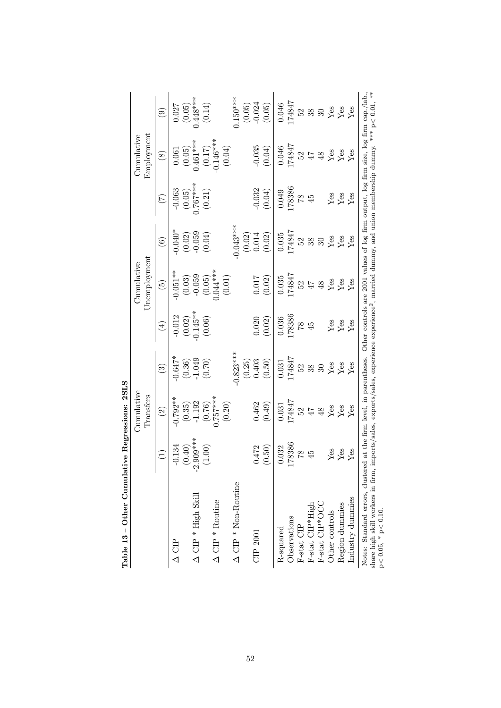| Table 13 - Other Cumulative Regressions: 2SLS                                                                                        |                 | Cumulative                                                                                                                    |                              |                                    | Cumulative               |            |                                  | Cumulative                                                                            |                               |
|--------------------------------------------------------------------------------------------------------------------------------------|-----------------|-------------------------------------------------------------------------------------------------------------------------------|------------------------------|------------------------------------|--------------------------|------------|----------------------------------|---------------------------------------------------------------------------------------|-------------------------------|
|                                                                                                                                      |                 | Transfers                                                                                                                     |                              |                                    | Unemployment             |            |                                  | Employment                                                                            |                               |
|                                                                                                                                      | $\widehat{\Xi}$ | $\widehat{\mathfrak{O}}$                                                                                                      | $\widehat{\mathbb{C}}$       | $\bigoplus$                        | $\widetilde{\mathbf{e}}$ | $\odot$    | $(\mathcal{L})$                  | $\circledast$                                                                         | $\odot$                       |
| $\Delta$ CIP                                                                                                                         | $-0.134$        | $-0.792**$                                                                                                                    | $-0.647*$                    | $-0.012$                           | $-0.051**$               | $-0.040*$  | $-0.063$                         | 0.061                                                                                 | 0.027                         |
|                                                                                                                                      | (0.40)          | (0.35)                                                                                                                        |                              |                                    | $(0.03)$<br>$-0.059$     | (0.02)     |                                  |                                                                                       |                               |
| $\Delta$ CIP * High Skill                                                                                                            | $-2.909***$     | $-1.192$                                                                                                                      |                              |                                    |                          |            |                                  |                                                                                       |                               |
|                                                                                                                                      | (1.00)          | $(0.76)$<br>0.757***                                                                                                          | $(0.36)$<br>-1.049<br>(0.70) | $(0.02)$<br>$-0.145**$<br>$(0.06)$ | $(0.05)$<br>$0.044***$   | (0.04)     | $(0.05)$<br>0.767***<br>$(0.21)$ | $(0.05)$<br>0.461***<br>$(0.17)$<br>0.146***                                          | $(0.05)$<br>0.448***<br>0.14) |
| $\Delta$ CIP * Routine                                                                                                               |                 |                                                                                                                               |                              |                                    |                          |            |                                  |                                                                                       |                               |
|                                                                                                                                      |                 | (0.20)                                                                                                                        |                              |                                    | $(0.01)$                 |            |                                  | (0.04)                                                                                |                               |
| $\Delta$ CIP * Non-Routine                                                                                                           |                 |                                                                                                                               | $0.823***$                   |                                    |                          | $0.043***$ |                                  |                                                                                       | $0.150***$                    |
|                                                                                                                                      |                 |                                                                                                                               | (0.25)                       |                                    |                          | (0.02)     |                                  |                                                                                       | (0.05)                        |
| CIP 2001                                                                                                                             | 0.472           | 0.462                                                                                                                         | 0.403                        | 0.020                              | 0.017                    | 0.014      |                                  | $-0.035$                                                                              | $-0.024$                      |
|                                                                                                                                      | (0.50)          | (0.49)                                                                                                                        | (0.50)                       | (0.02)                             | (0.02)                   | (0.02)     | $-0.032$<br>(0.04)               | (0.04)                                                                                | (0.05)                        |
| R-squared                                                                                                                            | 0.032           | 0.031                                                                                                                         | 0.031                        | 0.036                              | 0.035                    | 0.035      | 0.049                            | 0.046                                                                                 | 0.046                         |
| Observations                                                                                                                         | 178386          | 174847                                                                                                                        | 174847                       | 178386                             | 174847                   | 174847     | 178386                           | 174847                                                                                | 174847                        |
| F-stat CIP                                                                                                                           | 87              | 52                                                                                                                            | 52                           | $82\,$                             | 52                       | 25         | 284                              | 52                                                                                    |                               |
| F-stat CIP*High                                                                                                                      | $\ddot{4}$      | $47$                                                                                                                          | 38                           | $\frac{45}{5}$                     | 47                       | 38         |                                  |                                                                                       | 388                           |
| $F-stat$ CIP*OCC                                                                                                                     |                 | 48                                                                                                                            | $\mathcal{S}$                |                                    | $\frac{8}{3}$            | $30\,$     |                                  | $48$                                                                                  |                               |
| Other controls                                                                                                                       | $^{26}_{\rm X}$ | <b>Yes</b><br>Yes                                                                                                             | $\mathbf{Y}\mathbf{es}$      | Yes                                | $Y$ es                   | Yes        | $_{\rm Yes}^{\rm gas}$           | ${\rm Yes}$                                                                           | $Yes$<br>Yes                  |
| Region dummies                                                                                                                       |                 |                                                                                                                               | $Y$ es                       | Yes                                | $Y$ es                   | Yes        |                                  | Yes                                                                                   |                               |
| Industry dummies                                                                                                                     | $_{\rm Yes}$    | Yes                                                                                                                           | $Y$ es                       | Yes                                | $_{\rm Yes}$             | Yes        | $Y$ es                           | Yes                                                                                   | Yes                           |
| Notes: Standard errors, clustered at the firm level, in parentheses.<br>share high skill workers in firm,<br>$p<0.05$ , * $p<0.10$ . |                 | imports/sales, exports/sales, experience experience <sup>2</sup> , married dummy, and union membership dummy. *** p< 0.01, ** |                              |                                    |                          |            |                                  | Other controls are 2001 values of log firm output, log firm size, log firm cap./lab., |                               |

l,  $\epsilon$  $\vec{\tau}$ Ë Í

p< 0.05, \* p< 0.10.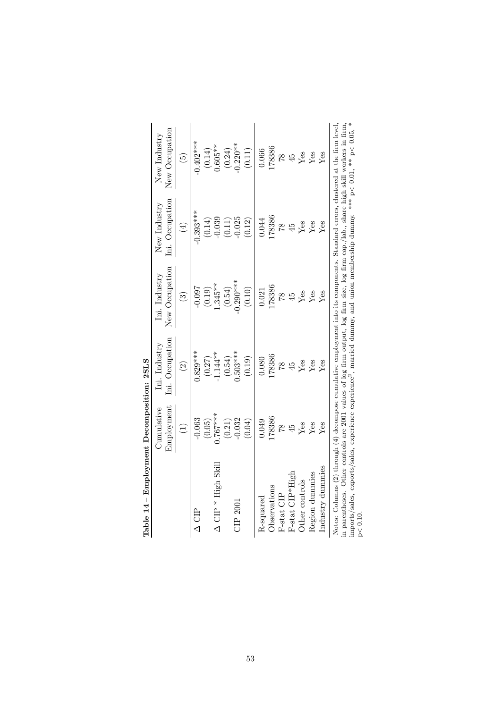| Table 14 - Employment Decomposition: 2SLS                                                                                                                                                                                                                                                                                                                                                                                                        |                                      |                                  |                                 |                                 |                                |
|--------------------------------------------------------------------------------------------------------------------------------------------------------------------------------------------------------------------------------------------------------------------------------------------------------------------------------------------------------------------------------------------------------------------------------------------------|--------------------------------------|----------------------------------|---------------------------------|---------------------------------|--------------------------------|
|                                                                                                                                                                                                                                                                                                                                                                                                                                                  | Employment<br>$\mathbb{C}$ umulative | Ini. Occupation<br>Ini. Industry | New Occupation<br>Ini. Industry | Ini. Occupation<br>New Industry | New Occupation<br>New Industry |
|                                                                                                                                                                                                                                                                                                                                                                                                                                                  |                                      |                                  |                                 |                                 |                                |
|                                                                                                                                                                                                                                                                                                                                                                                                                                                  | $\widehat{\Xi}$                      | $\widehat{\mathfrak{O}}$         | ි                               | $(\pm)$                         | $\widetilde{\mathbf{e}}$       |
| 白<br>△                                                                                                                                                                                                                                                                                                                                                                                                                                           | $-0.063$                             | $0.829***$                       | $-0.097$                        | $-0.393***$                     | $-0.402***$                    |
|                                                                                                                                                                                                                                                                                                                                                                                                                                                  | (0.05)                               | (0.27)                           | (0.19)                          | (0.14)                          | (0.14)                         |
| $\Delta$ CIP * High Skill                                                                                                                                                                                                                                                                                                                                                                                                                        | $0.767***$                           | $-1.144***$                      | $.345**$                        | $-0.039$                        | $0.605***$                     |
|                                                                                                                                                                                                                                                                                                                                                                                                                                                  | (0.21)                               | (0.54)                           | (0.54)                          | (0.11)                          | (0.24)                         |
| $\mathbb{CIP}$ 2001                                                                                                                                                                                                                                                                                                                                                                                                                              | $-0.032$                             | $0.503***$                       | $0.290***$                      | $-0.025$                        | $0.220**$                      |
|                                                                                                                                                                                                                                                                                                                                                                                                                                                  | (0.04)                               | (0.19)                           | (0.10)                          | (0.12)                          | (0.11)                         |
| R-squared                                                                                                                                                                                                                                                                                                                                                                                                                                        | 0.049                                | 0.080                            | 0.21                            | 0.044                           | 0.066                          |
| Observations                                                                                                                                                                                                                                                                                                                                                                                                                                     | 78386                                | 178386                           | 178386                          | 178386                          | 178386                         |
| F-stat CIP                                                                                                                                                                                                                                                                                                                                                                                                                                       | $\frac{8}{1}$                        | 87                               | $\frac{8}{10}$                  | 82                              | $\frac{8}{1}$                  |
| $F-stat$ $CIP^*Hig$                                                                                                                                                                                                                                                                                                                                                                                                                              | $\ddot{5}$                           | 45                               | 45                              | $\ddot{4}$                      | $\ddot{4}$                     |
| Other controls                                                                                                                                                                                                                                                                                                                                                                                                                                   | Yes                                  | Yes                              | Yes                             | Yes                             | Yes                            |
| Region dummies                                                                                                                                                                                                                                                                                                                                                                                                                                   | Yes                                  | Yes                              | Yes                             | $Y$ es                          | $Y$ es                         |
| Industry dummies                                                                                                                                                                                                                                                                                                                                                                                                                                 | Yes                                  | ${\rm Yes}$                      | Yes                             | $Y$ es                          | Yes                            |
| in parentheses. Other controls are 2001 values of log firm output, log firm size, log firm cap./lab., share high skill workers in firm,<br>imports/sales, exports/sales, experience experience <sup>2</sup> , married dummy, and union membership dummy. *** $p < 0.01$ , ** $p < 0.05$ , *<br>Notes: Columns $(2)$ through $(4)$ decompose cumulative employment into its components. Standard errors, clustered at the firm level,<br>p < 0.10 |                                      |                                  |                                 |                                 |                                |

| てしてく                   |  |
|------------------------|--|
| ı                      |  |
| <b>CARD CONTRACTOR</b> |  |
|                        |  |
|                        |  |